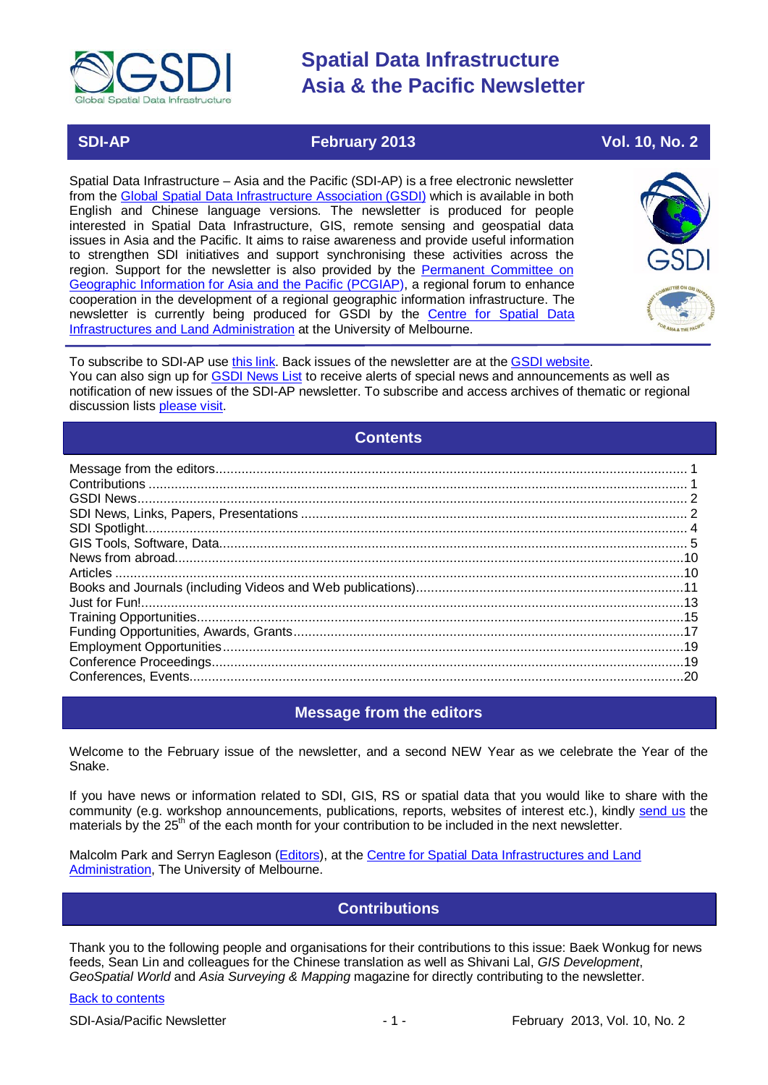

### **SDI-AP February 2013 Vol. 10, No. 2**

Spatial Data Infrastructure – Asia and the Pacific (SDI-AP) is a free electronic newsletter from the [Global Spatial Data Infrastructure Association \(GSDI\)](http://www.gsdi.org/) which is available in both English and Chinese language versions. The newsletter is produced for people interested in Spatial Data Infrastructure, GIS, remote sensing and geospatial data issues in Asia and the Pacific. It aims to raise awareness and provide useful information to strengthen SDI initiatives and support synchronising these activities across the region. Support for the newsletter is also provided by the Permanent Committee on [Geographic Information for Asia and the Pacific \(PCGIAP\)](http://www.pcgiap.org/), a regional forum to enhance cooperation in the development of a regional geographic information infrastructure. The newsletter is currently being produced for GSDI by the [Centre for Spatial Data](http://www.csdila.unimelb.edu.au/)  [Infrastructures and Land Administration](http://www.csdila.unimelb.edu.au/) at the University of Melbourne.



To subscribe to SDI-AP use [this link.](http://www.gsdi.org/newslist/gsdisubscribe.asp) Back issues of the newsletter are at the [GSDI website.](http://www.gsdi.org/newsletters.asp) You can also sign up for [GSDI News List](http://www.gsdi.org/newslist/gsdisubscribe.asp) to receive alerts of special news and announcements as well as notification of new issues of the SDI-AP newsletter. To subscribe and access archives of thematic or regional discussion lists [please visit.](http://www.gsdi.org/discussionlists.asp)

### **Contents**

<span id="page-0-0"></span>

# **Message from the editors**

<span id="page-0-1"></span>Welcome to the February issue of the newsletter, and a second NEW Year as we celebrate the Year of the Snake.

If you have news or information related to SDI, GIS, RS or spatial data that you would like to share with the community (e.g. workshop announcements, publications, reports, websites of interest etc.), kindly [send us](mailto:.SDI-AP@gsdi.org) the materials by the 25<sup>th</sup> of the each month for your contribution to be included in the next newsletter.

<span id="page-0-2"></span>Malcolm Park and Serryn Eagleson [\(Editors\)](mailto:Editor.SDIAP@gmail.com), at the Centre for Spatial Data Infrastructures and Land [Administration,](http://www.csdila.unimelb.edu.au/) The University of Melbourne.

### **Contributions**

Thank you to the following people and organisations for their contributions to this issue: Baek Wonkug for news feeds, Sean Lin and colleagues for the Chinese translation as well as Shivani Lal, *GIS Development*, *GeoSpatial World* and *Asia Surveying & Mapping* magazine for directly contributing to the newsletter.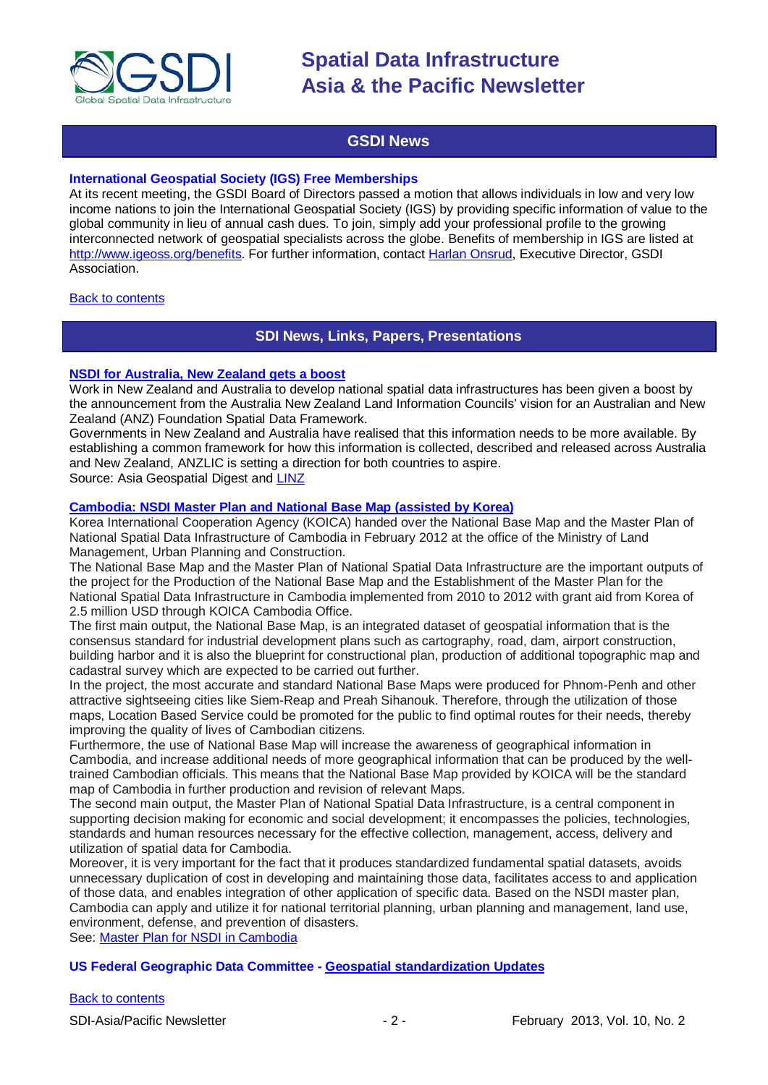

### **GSDI News**

#### <span id="page-1-0"></span>**International Geospatial Society (IGS) Free Memberships**

At its recent meeting, the GSDI Board of Directors passed a motion that allows individuals in low and very low income nations to join the International Geospatial Society (IGS) by providing specific information of value to the global community in lieu of annual cash dues. To join, simply add your professional profile to the growing interconnected network of geospatial specialists across the globe. Benefits of membership in IGS are listed at [http://www.igeoss.org/benefits.](https://owa.unimelb.edu.au/owa/redir.aspx?C=54c2b4d3973d480282dc7c38384f4204&URL=http%3a%2f%2fwww.igeoss.org%2fbenefits) For further information, contact [Harlan Onsrud,](mailto:onsrud@gsdi.org) Executive Director, GSDI Association.

#### <span id="page-1-1"></span>[Back to contents](#page-0-0)

### **SDI News, Links, Papers, Presentations**

#### **[NSDI for Australia, New Zealand gets a boost](http://www.geospatialworld.net/News/View.aspx?id=25998_Article)**

Work in New Zealand and Australia to develop national spatial data infrastructures has been given a boost by the announcement from the Australia New Zealand Land Information Councils' vision for an Australian and New Zealand (ANZ) Foundation Spatial Data Framework.

Governments in New Zealand and Australia have realised that this information needs to be more available. By establishing a common framework for how this information is collected, described and released across Australia and New Zealand, ANZLIC is setting a direction for both countries to aspire. Source: Asia Geospatial Digest and [LINZ](http://www.linz.govt.nz/about-linz/news-publications-and-consultations/news-and-notices/draft-australia-new-zealand-foundation-spatial-data-framework-an)

#### **[Cambodia: NSDI Master Plan and National Base Map \(assisted by Korea\)](http://www.koicacambodia.org/korea-hands-over-master-plan-of-national-spatial-data-infrastructure-and-national-base-map/)**

Korea International Cooperation Agency (KOICA) handed over the National Base Map and the Master Plan of National Spatial Data Infrastructure of Cambodia in February 2012 at the office of the Ministry of Land Management, Urban Planning and Construction.

The National Base Map and the Master Plan of National Spatial Data Infrastructure are the important outputs of the project for the Production of the National Base Map and the Establishment of the Master Plan for the National Spatial Data Infrastructure in Cambodia implemented from 2010 to 2012 with grant aid from Korea of 2.5 million USD through KOICA Cambodia Office.

The first main output, the National Base Map, is an integrated dataset of geospatial information that is the consensus standard for industrial development plans such as cartography, road, dam, airport construction, building harbor and it is also the blueprint for constructional plan, production of additional topographic map and cadastral survey which are expected to be carried out further.

In the project, the most accurate and standard National Base Maps were produced for Phnom-Penh and other attractive sightseeing cities like Siem-Reap and Preah Sihanouk. Therefore, through the utilization of those maps, Location Based Service could be promoted for the public to find optimal routes for their needs, thereby improving the quality of lives of Cambodian citizens.

Furthermore, the use of National Base Map will increase the awareness of geographical information in Cambodia, and increase additional needs of more geographical information that can be produced by the welltrained Cambodian officials. This means that the National Base Map provided by KOICA will be the standard map of Cambodia in further production and revision of relevant Maps.

The second main output, the Master Plan of National Spatial Data Infrastructure, is a central component in supporting decision making for economic and social development; it encompasses the policies, technologies, standards and human resources necessary for the effective collection, management, access, delivery and utilization of spatial data for Cambodia.

Moreover, it is very important for the fact that it produces standardized fundamental spatial datasets, avoids unnecessary duplication of cost in developing and maintaining those data, facilitates access to and application of those data, and enables integration of other application of specific data. Based on the NSDI master plan, Cambodia can apply and utilize it for national territorial planning, urban planning and management, land use, environment, defense, and prevention of disasters.

See: [Master Plan for NSDI in Cambodia](http://www.nsdi.go.kr/ppm/downloadAttatchment.do?id=196)

#### **US Federal Geographic Data Committee - [Geospatial standardization Updates](http://www.fgdc.gov/standards/monthlyStandardsUpdate/index)**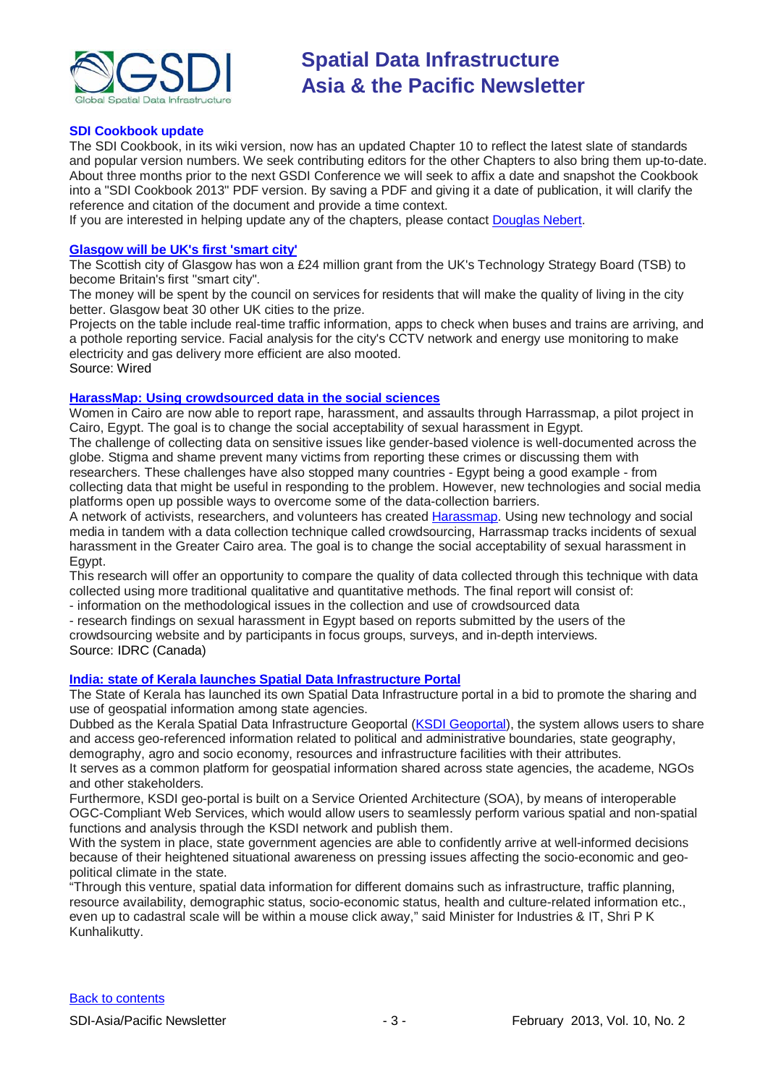

#### **SDI Cookbook update**

The SDI Cookbook, in its wiki version, now has an updated Chapter 10 to reflect the latest slate of standards and popular version numbers. We seek contributing editors for the other Chapters to also bring them up-to-date. About three months prior to the next GSDI Conference we will seek to affix a date and snapshot the Cookbook into a "SDI Cookbook 2013" PDF version. By saving a PDF and giving it a date of publication, it will clarify the reference and citation of the document and provide a time context.

If you are interested in helping update any of the chapters, please contact [Douglas Nebert.](mailto:ddnebert@usgs.gov)

#### **[Glasgow will be UK's first 'smart city'](http://www.wired.co.uk/news/archive/2013-01/27/glasgow-smart-city)**

The Scottish city of Glasgow has won a £24 million grant from the UK's Technology Strategy Board (TSB) to become Britain's first "smart city".

The money will be spent by the council on services for residents that will make the quality of living in the city better. Glasgow beat 30 other UK cities to the prize.

Projects on the table include real-time traffic information, apps to check when buses and trains are arriving, and a pothole reporting service. Facial analysis for the city's CCTV network and energy use monitoring to make electricity and gas delivery more efficient are also mooted. Source: Wired

#### **[HarassMap: Using crowdsourced](http://www.idrc.ca/EN/Misc/Pages/ProjectDetails.aspx?ProjectNumber=106623) data in the social sciences**

Women in Cairo are now able to report rape, harassment, and assaults through Harrassmap, a pilot project in Cairo, Egypt. The goal is to change the social acceptability of sexual harassment in Egypt.

The challenge of collecting data on sensitive issues like gender-based violence is well-documented across the globe. Stigma and shame prevent many victims from reporting these crimes or discussing them with

researchers. These challenges have also stopped many countries - Egypt being a good example - from collecting data that might be useful in responding to the problem. However, new technologies and social media platforms open up possible ways to overcome some of the data-collection barriers.

A network of activists, researchers, and volunteers has created [Harassmap.](http://harassmap.org/) Using new technology and social media in tandem with a data collection technique called crowdsourcing, Harrassmap tracks incidents of sexual harassment in the Greater Cairo area. The goal is to change the social acceptability of sexual harassment in Egypt.

This research will offer an opportunity to compare the quality of data collected through this technique with data collected using more traditional qualitative and quantitative methods. The final report will consist of:

- information on the methodological issues in the collection and use of crowdsourced data

- research findings on sexual harassment in Egypt based on reports submitted by the users of the

crowdsourcing website and by participants in focus groups, surveys, and in-depth interviews. Source: IDRC (Canada)

#### **India: state of Kerala [launches Spatial Data Infrastructure Portal](http://www.futuregov.asia/articles/2013/jan/22/indian-state-launches-spatial-data-infrastructure-/)**

The State of Kerala has launched its own Spatial Data Infrastructure portal in a bid to promote the sharing and use of geospatial information among state agencies.

Dubbed as the Kerala Spatial Data Infrastructure Geoportal [\(KSDI Geoportal\)](http://ksdi.kerala.gov.in/KSDI/), the system allows users to share and access geo-referenced information related to political and administrative boundaries, state geography, demography, agro and socio economy, resources and infrastructure facilities with their attributes.

It serves as a common platform for geospatial information shared across state agencies, the academe, NGOs and other stakeholders.

Furthermore, KSDI geo-portal is built on a Service Oriented Architecture (SOA), by means of interoperable OGC-Compliant Web Services, which would allow users to seamlessly perform various spatial and non-spatial functions and analysis through the KSDI network and publish them.

With the system in place, state government agencies are able to confidently arrive at well-informed decisions because of their heightened situational awareness on pressing issues affecting the socio-economic and geopolitical climate in the state.

"Through this venture, spatial data information for different domains such as infrastructure, traffic planning, resource availability, demographic status, socio-economic status, health and culture-related information etc., even up to cadastral scale will be within a mouse click away," said Minister for Industries & IT, Shri P K Kunhalikutty.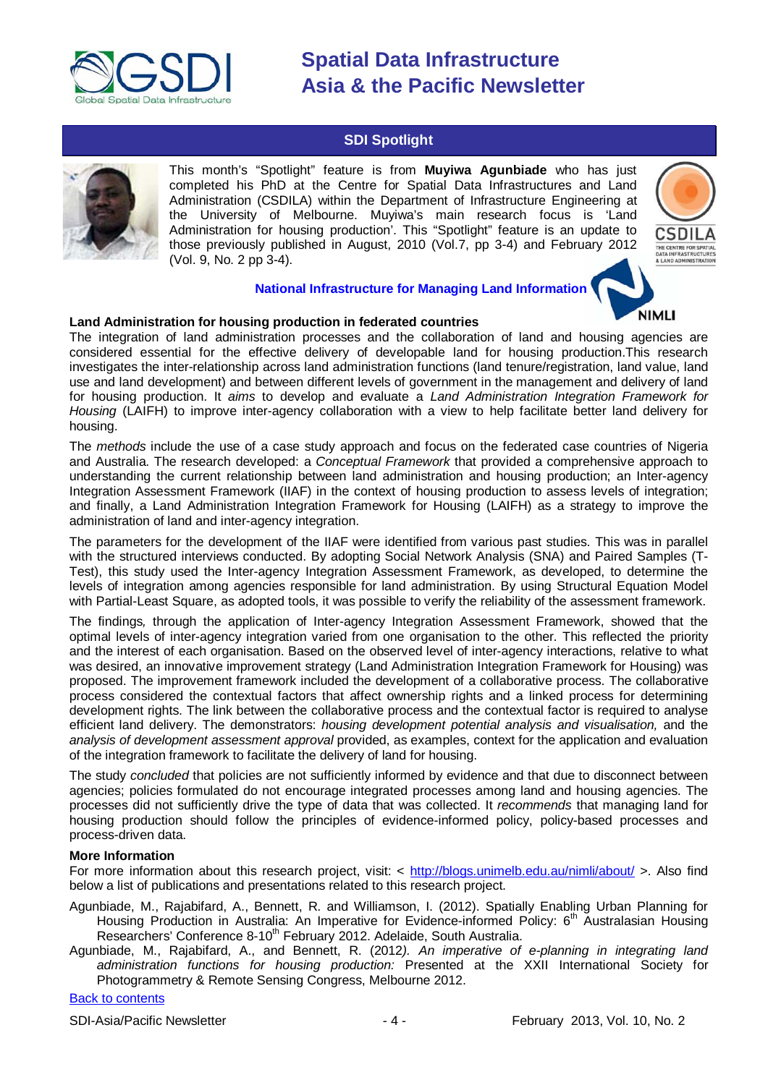

### **SDI Spotlight**

<span id="page-3-0"></span>

This month's "Spotlight" feature is from **Muyiwa Agunbiade** who has just completed his PhD at the Centre for Spatial Data Infrastructures and Land Administration (CSDILA) within the Department of Infrastructure Engineering at the University of Melbourne. Muyiwa's main research focus is 'Land Administration for housing production'. This "Spotlight" feature is an update to those previously published in August, 2010 (Vol.7, pp 3-4) and February 2012 (Vol. 9, No. 2 pp 3-4).



#### **National Infrastructure for Managing Land Information**

# **NIMLI**

#### **Land Administration for housing production in federated countries**

The integration of land administration processes and the collaboration of land and housing agencies are considered essential for the effective delivery of developable land for housing production.This research investigates the inter-relationship across land administration functions (land tenure/registration, land value, land use and land development) and between different levels of government in the management and delivery of land for housing production. It *aims* to develop and evaluate a *Land Administration Integration Framework for Housing* (LAIFH) to improve inter-agency collaboration with a view to help facilitate better land delivery for housing.

The *methods* include the use of a case study approach and focus on the federated case countries of Nigeria and Australia. The research developed: a *Conceptual Framework* that provided a comprehensive approach to understanding the current relationship between land administration and housing production; an Inter-agency Integration Assessment Framework (IIAF) in the context of housing production to assess levels of integration; and finally, a Land Administration Integration Framework for Housing (LAIFH) as a strategy to improve the administration of land and inter-agency integration.

The parameters for the development of the IIAF were identified from various past studies. This was in parallel with the structured interviews conducted. By adopting Social Network Analysis (SNA) and Paired Samples (T-Test), this study used the Inter-agency Integration Assessment Framework, as developed, to determine the levels of integration among agencies responsible for land administration. By using Structural Equation Model with Partial-Least Square, as adopted tools, it was possible to verify the reliability of the assessment framework.

The findings*,* through the application of Inter-agency Integration Assessment Framework, showed that the optimal levels of inter-agency integration varied from one organisation to the other. This reflected the priority and the interest of each organisation. Based on the observed level of inter-agency interactions, relative to what was desired, an innovative improvement strategy (Land Administration Integration Framework for Housing) was proposed. The improvement framework included the development of a collaborative process. The collaborative process considered the contextual factors that affect ownership rights and a linked process for determining development rights. The link between the collaborative process and the contextual factor is required to analyse efficient land delivery. The demonstrators: *housing development potential analysis and visualisation,* and the *analysis of development assessment approval* provided, as examples, context for the application and evaluation of the integration framework to facilitate the delivery of land for housing.

The study *concluded* that policies are not sufficiently informed by evidence and that due to disconnect between agencies; policies formulated do not encourage integrated processes among land and housing agencies. The processes did not sufficiently drive the type of data that was collected. It *recommends* that managing land for housing production should follow the principles of evidence-informed policy, policy-based processes and process-driven data.

#### **More Information**

For more information about this research project, visit: < <http://blogs.unimelb.edu.au/nimli/about/> >. Also find below a list of publications and presentations related to this research project.

- Agunbiade, M., Rajabifard, A., Bennett, R. and Williamson, I. (2012). Spatially Enabling Urban Planning for Housing Production in Australia: An Imperative for Evidence-informed Policy: 6<sup>th</sup> Australasian Housing Researchers' Conference 8-10<sup>th</sup> February 2012. Adelaide, South Australia.
- Agunbiade, M., Rajabifard, A., and Bennett, R. (2012*). An imperative of e-planning in integrating land administration functions for housing production:* Presented at the XXII International Society for Photogrammetry & Remote Sensing Congress, Melbourne 2012.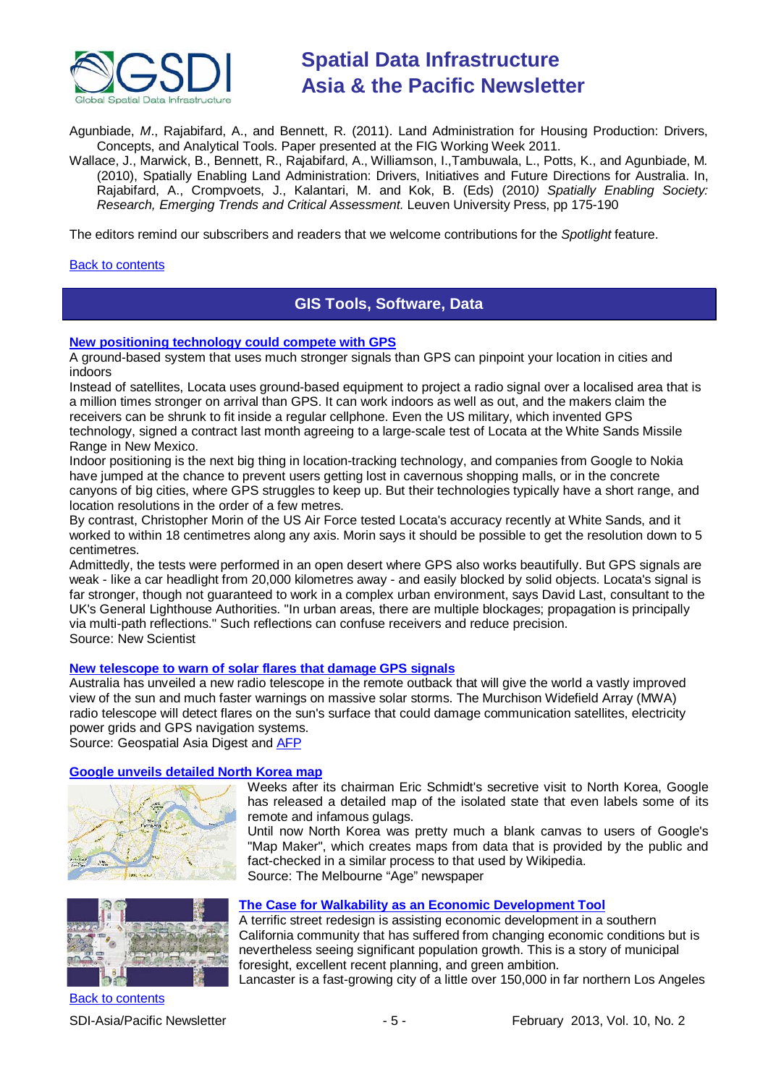

Agunbiade, *M*., Rajabifard, A., and Bennett, R. (2011). Land Administration for Housing Production: Drivers, Concepts, and Analytical Tools. Paper presented at the FIG Working Week 2011.

Wallace, J., Marwick, B., Bennett, R., Rajabifard, A., Williamson, I.,Tambuwala, L., Potts, K., and Agunbiade, M*.* (2010), Spatially Enabling Land Administration: Drivers, Initiatives and Future Directions for Australia. In, Rajabifard, A., Crompvoets, J., Kalantari, M. and Kok, B. (Eds) (2010*) Spatially Enabling Society: Research, Emerging Trends and Critical Assessment.* Leuven University Press, pp 175-190

The editors remind our subscribers and readers that we welcome contributions for the *Spotlight* feature.

#### <span id="page-4-0"></span>[Back to contents](#page-0-0)

### **GIS Tools, Software, Data**

#### **[New positioning technology could compete with GPS](http://www.newscientist.com/article/mg21728985.600-new-positioning-technology-could-compete-with-gps.html)**

A ground-based system that uses much stronger signals than GPS can pinpoint your location in cities and indoors

Instead of satellites, Locata uses ground-based equipment to project a radio signal over a localised area that is a million times stronger on arrival than GPS. It can work indoors as well as out, and the makers claim the receivers can be shrunk to fit inside a regular cellphone. Even the US military, which invented GPS technology, signed a contract last month agreeing to a large-scale test of Locata at the White Sands Missile Range in New Mexico.

Indoor positioning is the next big thing in location-tracking technology, and companies from Google to Nokia have jumped at the chance to prevent users getting lost in cavernous shopping malls, or in the concrete canyons of big cities, where GPS struggles to keep up. But their technologies typically have a short range, and location resolutions in the order of a few metres.

By contrast, Christopher Morin of the US Air Force tested Locata's accuracy recently at White Sands, and it worked to within 18 centimetres along any axis. Morin says it should be possible to get the resolution down to 5 centimetres.

Admittedly, the tests were performed in an open desert where GPS also works beautifully. But GPS signals are weak - like a car headlight from 20,000 kilometres away - and easily blocked by solid objects. Locata's signal is far stronger, though not guaranteed to work in a complex urban environment, says David Last, consultant to the UK's General Lighthouse Authorities. "In urban areas, there are multiple blockages; propagation is principally via multi-path reflections." Such reflections can confuse receivers and reduce precision. Source: New Scientist

#### **[New telescope to warn of solar flares that damage GPS signals](http://www.geospatialworld.net/News/View.aspx?id=26054_Article)**

Australia has unveiled a new radio telescope in the remote outback that will give the world a vastly improved view of the sun and much faster warnings on massive solar storms. The Murchison Widefield Array (MWA) radio telescope will detect flares on the sun's surface that could damage communication satellites, electricity power grids and GPS navigation systems.

Source: The Melbourne "Age" newspaper

remote and infamous gulags.

Source: Geospatial Asia Digest and [AFP](http://www.google.com/hostednews/afp/article/ALeqM5hnRBoc4-_I7tHLQSUheDWnVPJESA?docId=CNG.ddc4e13a1b0d951ba1830e997de86759.211)

#### **[Google unveils detailed North Korea map](http://www.theage.com.au/technology/technology-news/google-unveils-detailed-north-korea-map-with-gulags-20130130-2djlr.html)** Weeks after its chairman Eric Schmidt's secretive visit to North Korea, Google





#### **[The Case for Walkability as an Economic Development Tool](http://www.theatlanticcities.com/design/2013/01/case-walkability-economic-development-tool/4317/)**

fact-checked in a similar process to that used by Wikipedia.

A terrific street redesign is assisting economic development in a southern California community that has suffered from changing economic conditions but is nevertheless seeing significant population growth. This is a story of municipal foresight, excellent recent planning, and green ambition.

has released a detailed map of the isolated state that even labels some of its

Until now North Korea was pretty much a blank canvas to users of Google's "Map Maker", which creates maps from data that is provided by the public and

Lancaster is a fast-growing city of a little over 150,000 in far northern Los Angeles

[Back to contents](#page-0-0)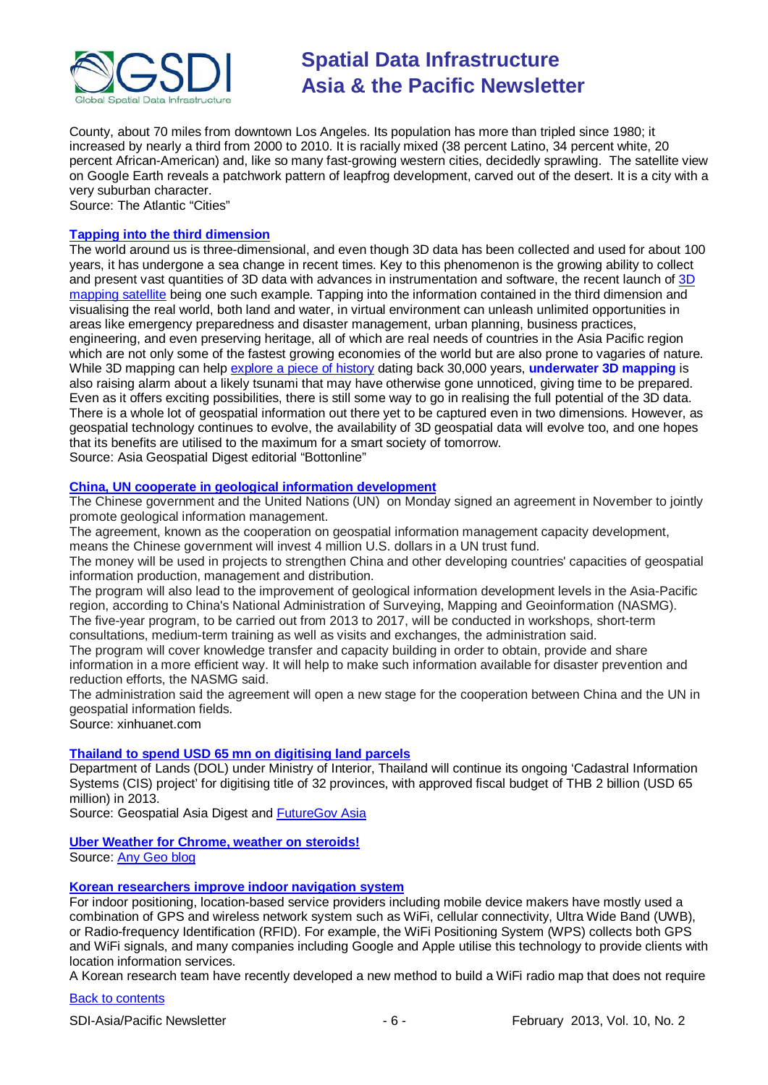

County, about 70 miles from downtown Los Angeles. Its population has more than tripled since 1980; it increased by nearly a third from 2000 to 2010. It is racially mixed (38 percent Latino, 34 percent white, 20 percent African-American) and, like so many fast-growing western cities, decidedly sprawling. The satellite view on Google Earth reveals a patchwork pattern of leapfrog development, carved out of the desert. It is a city with a very suburban character.

Source: The Atlantic "Cities"

#### **[Tapping into the third dimension](http://www.geospatialworld.net/newsletter/jan2013_AG.htm)**

The world around us is three-dimensional, and even though 3D data has been collected and used for about 100 years, it has undergone a sea change in recent times. Key to this phenomenon is the growing ability to collect and present vast quantities of 3D data with advances in instrumentation and software, the recent launch of [3D](http://www.geospatialworld.net/News/View.aspx?ID=26089_Article)  [mapping satellite](http://www.geospatialworld.net/News/View.aspx?ID=26089_Article) being one such example. Tapping into the information contained in the third dimension and visualising the real world, both land and water, in virtual environment can unleash unlimited opportunities in areas like emergency preparedness and disaster management, urban planning, business practices, engineering, and even preserving heritage, all of which are real needs of countries in the Asia Pacific region which are not only some of the fastest growing economies of the world but are also prone to vagaries of nature. While 3D mapping can help [explore a piece of history](http://www.geospatialworld.net/News/View.aspx?id=26078_Article) dating back 30,000 years, **[underwater 3D mapping](http://www.geospatialworld.net/News/View.aspx?id=26094_Article)** is also raising alarm about a likely tsunami that may have otherwise gone unnoticed, giving time to be prepared. Even as it offers exciting possibilities, there is still some way to go in realising the full potential of the 3D data. There is a whole lot of geospatial information out there yet to be captured even in two dimensions. However, as geospatial technology continues to evolve, the availability of 3D geospatial data will evolve too, and one hopes that its benefits are utilised to the maximum for a smart society of tomorrow.

Source: Asia Geospatial Digest editorial "Bottonline"

#### **[China, UN cooperate in geological information development](http://news.xinhuanet.com/english/china/2012-11/19/c_131985270.htm)**

The Chinese government and the United Nations (UN) on Monday signed an agreement in November to jointly promote geological information management.

The agreement, known as the cooperation on geospatial information management capacity development, means the Chinese government will invest 4 million U.S. dollars in a UN trust fund.

The money will be used in projects to strengthen China and other developing countries' capacities of geospatial information production, management and distribution.

The program will also lead to the improvement of geological information development levels in the Asia-Pacific region, according to China's National Administration of Surveying, Mapping and Geoinformation (NASMG). The five-year program, to be carried out from 2013 to 2017, will be conducted in workshops, short-term

consultations, medium-term training as well as visits and exchanges, the administration said.

The program will cover knowledge transfer and capacity building in order to obtain, provide and share information in a more efficient way. It will help to make such information available for disaster prevention and reduction efforts, the NASMG said.

The administration said the agreement will open a new stage for the cooperation between China and the UN in geospatial information fields.

Source: xinhuanet.com

### **[Thailand to spend USD 65 mn on digitising land parcels](http://www.geospatialworld.net/News/View.aspx?id=26085_Article)**

Department of Lands (DOL) under Ministry of Interior, Thailand will continue its ongoing 'Cadastral Information Systems (CIS) project' for digitising title of 32 provinces, with approved fiscal budget of THB 2 billion (USD 65 million) in 2013.

Source: Geospatial Asia Digest and [FutureGov Asia](http://www.futuregov.asia/articles/2012/dec/26/thailand-spend-us65-mil-digitising-land-parcels/)

#### **[Uber Weather for Chrome, weather on steroids!](http://uberweather.com/)**

Source: [Any Geo blog](http://blog.gisuser.com/2012/12/09/uber-weather-for-chrome-weather-on-steroids/)

#### **[Korean researchers improve indoor navigation system](http://www.geospatialworld.net/News/View.aspx?id=26039_Article)**

For indoor positioning, location-based service providers including mobile device makers have mostly used a combination of GPS and wireless network system such as WiFi, cellular connectivity, Ultra Wide Band (UWB), or Radio-frequency Identification (RFID). For example, the WiFi Positioning System (WPS) collects both GPS and WiFi signals, and many companies including Google and Apple utilise this technology to provide clients with location information services.

A Korean research team have recently developed a new method to build a WiFi radio map that does not require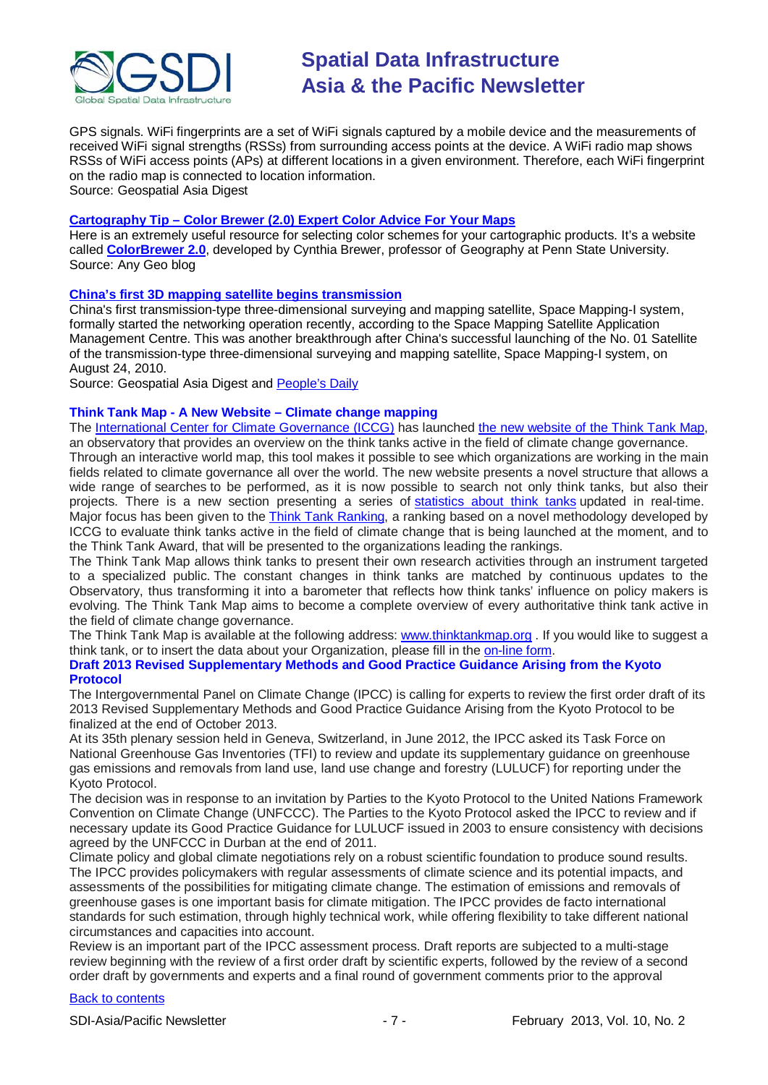

GPS signals. WiFi fingerprints are a set of WiFi signals captured by a mobile device and the measurements of received WiFi signal strengths (RSSs) from surrounding access points at the device. A WiFi radio map shows RSSs of WiFi access points (APs) at different locations in a given environment. Therefore, each WiFi fingerprint on the radio map is connected to location information.

Source: Geospatial Asia Digest

#### **Cartography Tip – [Color Brewer \(2.0\) Expert Color Advice For Your Maps](http://blog.gisuser.com/2012/11/26/cartography-tip-color-brewer-2-0-expert-color-advice-for-your-maps/)**

Here is an extremely useful resource for selecting color schemes for your cartographic products. It's a website called **[ColorBrewer 2.0](http://colorbrewer2.org/)**, developed by Cynthia Brewer, professor of Geography at Penn State University. Source: Any Geo blog

#### **[China's first 3D mapping satellite begins transmission](http://www.geospatialworld.net/News/View.aspx?id=26089_Article)**

China's first transmission-type three-dimensional surveying and mapping satellite, Space Mapping-I system, formally started the networking operation recently, according to the Space Mapping Satellite Application Management Centre. This was another breakthrough after China's successful launching of the No. 01 Satellite of the transmission-type three-dimensional surveying and mapping satellite, Space Mapping-I system, on August 24, 2010.

Source: Geospatial Asia Digest and [People's Daily](http://english.peopledaily.com.cn/90786/8073981.html)

#### **Think Tank Map - A New Website – Climate change mapping**

The [International Center for Climate Governance \(ICCG\)](http://www.iccgov.org/) has launched [the new website of the Think Tank Map,](http://www.thinktankmap.org/) an observatory that provides an overview on the think tanks active in the field of climate change governance. Through an interactive world map, this tool makes it possible to see which organizations are working in the main fields related to climate governance all over the world. The new website presents a novel structure that allows a wide range of searches to be performed, as it is now possible to search not only think tanks, but also their projects. There is a new section presenting a series of [statistics about think tanks](http://www.thinktankmap.org/Statistics.aspx) updated in real-time. Major focus has been given to the [Think Tank Ranking,](http://www.thinktankmap.org/Page.aspx?Name=Ranking) a ranking based on a novel methodology developed by ICCG to evaluate think tanks active in the field of climate change that is being launched at the moment, and to the Think Tank Award, that will be presented to the organizations leading the rankings.

The Think Tank Map allows think tanks to present their own research activities through an instrument targeted to a specialized public. The constant changes in think tanks are matched by continuous updates to the Observatory, thus transforming it into a barometer that reflects how think tanks' influence on policy makers is evolving. The Think Tank Map aims to become a complete overview of every authoritative think tank active in the field of climate change governance.

The Think Tank Map is available at the following address: [www.thinktankmap.org](http://www.thinktankmap.org/) . If you would like to suggest a think tank, or to insert the data about your Organization, please fill in the [on-line form.](http://www.thinktankmap.org/AddThinkTank.aspx)

### **Draft 2013 Revised Supplementary Methods and Good Practice Guidance Arising from the Kyoto Protocol**

The Intergovernmental Panel on Climate Change (IPCC) is calling for experts to review the first order draft of its 2013 Revised Supplementary Methods and Good Practice Guidance Arising from the Kyoto Protocol to be finalized at the end of October 2013.

At its 35th plenary session held in Geneva, Switzerland, in June 2012, the IPCC asked its Task Force on National Greenhouse Gas Inventories (TFI) to review and update its supplementary guidance on greenhouse gas emissions and removals from land use, land use change and forestry (LULUCF) for reporting under the Kyoto Protocol.

The decision was in response to an invitation by Parties to the Kyoto Protocol to the United Nations Framework Convention on Climate Change (UNFCCC). The Parties to the Kyoto Protocol asked the IPCC to review and if necessary update its Good Practice Guidance for LULUCF issued in 2003 to ensure consistency with decisions agreed by the UNFCCC in Durban at the end of 2011.

Climate policy and global climate negotiations rely on a robust scientific foundation to produce sound results. The IPCC provides policymakers with regular assessments of climate science and its potential impacts, and assessments of the possibilities for mitigating climate change. The estimation of emissions and removals of greenhouse gases is one important basis for climate mitigation. The IPCC provides de facto international standards for such estimation, through highly technical work, while offering flexibility to take different national circumstances and capacities into account.

Review is an important part of the IPCC assessment process. Draft reports are subjected to a multi-stage review beginning with the review of a first order draft by scientific experts, followed by the review of a second order draft by governments and experts and a final round of government comments prior to the approval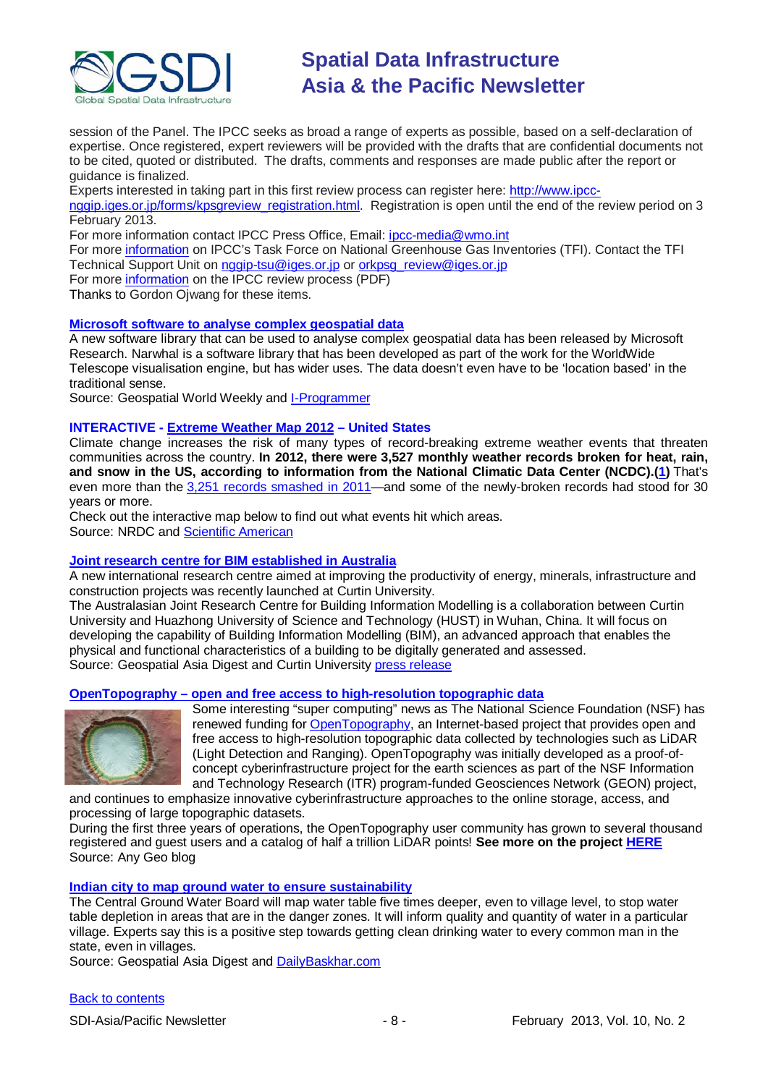

session of the Panel. The IPCC seeks as broad a range of experts as possible, based on a self-declaration of expertise. Once registered, expert reviewers will be provided with the drafts that are confidential documents not to be cited, quoted or distributed. The drafts, comments and responses are made public after the report or guidance is finalized.

Experts interested in taking part in this first review process can register here: [http://www.ipcc-](http://www.ipcc-nggip.iges.or.jp/forms/kpsgreview_registration.html)

[nggip.iges.or.jp/forms/kpsgreview\\_registration.html.](http://www.ipcc-nggip.iges.or.jp/forms/kpsgreview_registration.html) Registration is open until the end of the review period on 3 February 2013.

For more information contact IPCC Press Office, Email: [ipcc-media@wmo.int](mailto:ipcc-media@wmo.int)

For more [information](http://www.ipcc-nggip.iges.or.jp/) on IPCC's Task Force on National Greenhouse Gas Inventories (TFI). Contact the TFI Technical Support Unit on [nggip-tsu@iges.or.jp](mailto:nggip-tsu@iges.or.jp) or [orkpsg\\_review@iges.or.jp](mailto:orkpsg_review@iges.or.jp)

For more [information](http://www.ipcc.ch/pdf/ipcc-principles/ipcc-principles-appendix-a-final.pdf) on the IPCC review process (PDF)

Thanks to Gordon Ojwang for these items.

#### **[Microsoft software to analyse complex](http://www.geospatialworld.net/News/View.aspx?id=26033_Article) geospatial data**

A new software library that can be used to analyse complex geospatial data has been released by Microsoft Research. Narwhal is a software library that has been developed as part of the work for the WorldWide Telescope visualisation engine, but has wider uses. The data doesn't even have to be 'location based' in the traditional sense.

Source: Geospatial World Weekly and [I-Programmer](http://www.i-programmer.info/news/145-mapping-a-gis/5204-narwhal-a-far-reaching-geospatial-data-library.html)

#### **INTERACTIVE - [Extreme Weather Map 2012](http://www.nrdc.org/health/extremeweather/default.asp) – United States**

Climate change increases the risk of many types of record-breaking extreme weather events that threaten communities across the country. **In 2012, there were 3,527 monthly weather records broken for heat, rain, and snow in the US, according to information from the National Climatic Data Center (NCDC).[\(1\)](http://www.nrdc.org/health/extremeweather/default.asp#note1)** That's even more than the [3,251 records smashed in 2011—](http://www.nrdc.org/health/extremeweather/2011-map.asp)and some of the newly-broken records had stood for 30 years or more.

Check out the interactive map below to find out what events hit which areas. Source: NRDC and [Scientific American](http://www.scientificamerican.com/article.cfm?id=thousands-of-us-weather-records&WT.mc_id=SA_DD_20130116)

#### **[Joint research centre for BIM established in Australia](http://www.geospatialworld.net/News/View.aspx?id=26084_Article)**

A new international research centre aimed at improving the productivity of energy, minerals, infrastructure and construction projects was recently launched at Curtin University.

The Australasian Joint Research Centre for Building Information Modelling is a collaboration between Curtin University and Huazhong University of Science and Technology (HUST) in Wuhan, China. It will focus on developing the capability of Building Information Modelling (BIM), an advanced approach that enables the physical and functional characteristics of a building to be digitally generated and assessed. Source: Geospatial Asia Digest and Curtin University [press release](http://www.curtin.edu.au/research/areas-of-strength/ict/news/dec-12/building_information_modelling.cfm)

#### **OpenTopography – [open and free access to high-resolution topographic data](http://blog.gisuser.com/2012/12/05/opentopography-open-and-free-access-to-high-res-topographic-data/)**



Some interesting "super computing" news as The National Science Foundation (NSF) has renewed funding for [OpenTopography,](http://www.opentopography.org/index.php) an Internet-based project that provides open and free access to high-resolution topographic data collected by technologies such as LiDAR (Light Detection and Ranging). OpenTopography was initially developed as a proof-ofconcept cyberinfrastructure project for the earth sciences as part of the NSF Information and Technology Research (ITR) program-funded Geosciences Network (GEON) project,

and continues to emphasize innovative cyberinfrastructure approaches to the online storage, access, and processing of large topographic datasets.

During the first three years of operations, the OpenTopography user community has grown to several thousand registered and guest users and a catalog of half a trillion LiDAR points! **See more on the project [HERE](http://www.amerisurv.com/content/view/10795/)** Source: Any Geo blog

#### **[Indian city to map ground water to ensure sustainability](http://www.geospatialworld.net/News/View.aspx?id=26072_Article)**

The Central Ground Water Board will map water table five times deeper, even to village level, to stop water table depletion in areas that are in the danger zones. It will inform quality and quantity of water in a particular village. Experts say this is a positive step towards getting clean drinking water to every common man in the state, even in villages.

Source: Geospatial Asia Digest and [DailyBaskhar.com](http://daily.bhaskar.com/article/RAJ-JPR-now-mapping-of-water-to-stop-further-depletion-4122065-NOR.html)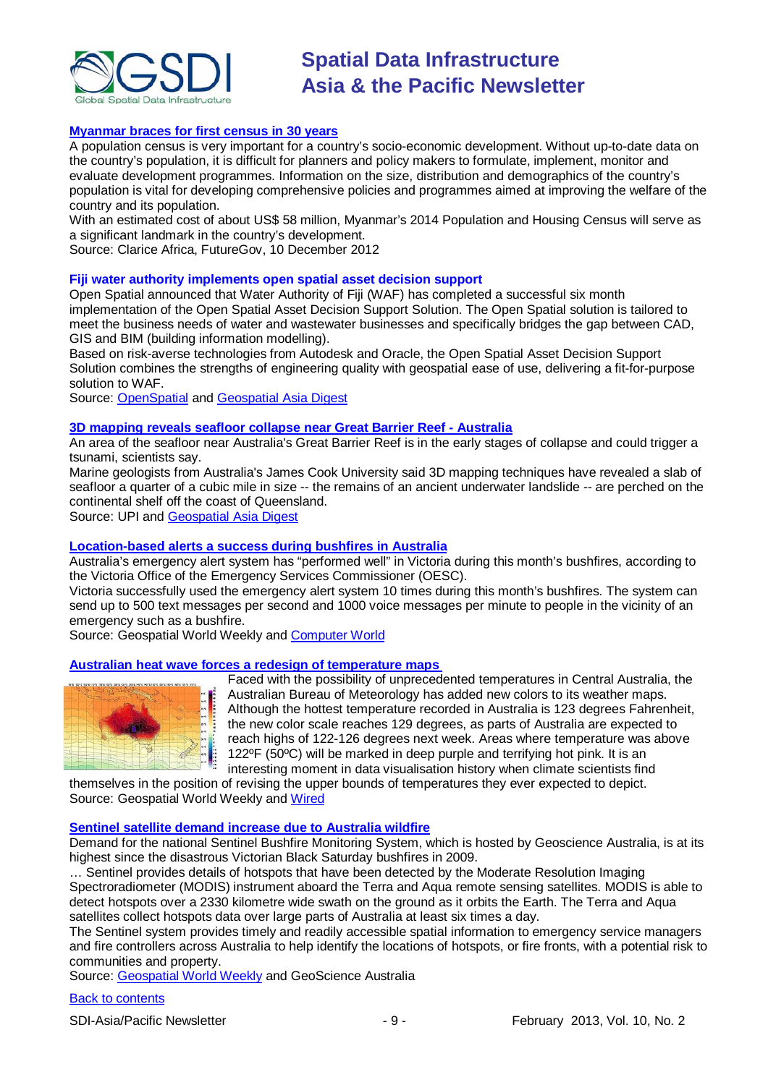

### **[Myanmar braces for first census in 30 years](http://www.futuregov.asia/articles/2012/dec/10/myanmar-braces-2014-population-and-housing-census/)**

A population census is very important for a country's socio-economic development. Without up-to-date data on the country's population, it is difficult for planners and policy makers to formulate, implement, monitor and evaluate development programmes. Information on the size, distribution and demographics of the country's population is vital for developing comprehensive policies and programmes aimed at improving the welfare of the country and its population.

With an estimated cost of about US\$ 58 million, Myanmar's 2014 Population and Housing Census will serve as a significant landmark in the country's development.

Source: Clarice Africa, FutureGov, 10 December 2012

#### **Fiji water authority implements open spatial asset decision support**

Open Spatial announced that Water Authority of Fiji (WAF) has completed a successful six month implementation of the Open Spatial Asset Decision Support Solution. The Open Spatial solution is tailored to meet the business needs of water and wastewater businesses and specifically bridges the gap between CAD, GIS and BIM (building information modelling).

Based on risk-averse technologies from Autodesk and Oracle, the Open Spatial Asset Decision Support Solution combines the strengths of engineering quality with geospatial ease of use, delivering a fit-for-purpose solution to WAF.

Source: [OpenSpatial](http://www.openspatial.com/) and [Geospatial Asia Digest](http://www.geospatialworld.net/News/View.aspx?id=26029_Article)

#### **[3D mapping reveals seafloor collapse near Great](http://www.upi.com/Science_News/2012/12/21/Seafloor-collapse-threatens-tsunami/UPI-83031356121099/) Barrier Reef - Australia**

An area of the seafloor near Australia's Great Barrier Reef is in the early stages of collapse and could trigger a tsunami, scientists say.

Marine geologists from Australia's James Cook University said 3D mapping techniques have revealed a slab of seafloor a quarter of a cubic mile in size -- the remains of an ancient underwater landslide -- are perched on the continental shelf off the coast of Queensland.

Source: UPI and [Geospatial Asia Digest](http://www.geospatialworld.net/News/View.aspx?id=26094_Article)

#### **[Location-based alerts a success during bushfires in Australia](http://www.geospatialworld.net/News/View.aspx?id=26170_Article)**

Australia's emergency alert system has "performed well" in Victoria during this month's bushfires, according to the Victoria Office of the Emergency Services Commissioner (OESC).

Victoria successfully used the emergency alert system 10 times during this month's bushfires. The system can send up to 500 text messages per second and 1000 voice messages per minute to people in the vicinity of an emergency such as a bushfire.

Source: Geospatial World Weekly and [Computer World](http://www.computerworld.com.au/article/446242/victoria_says_location-based_alerts_success_during_bushfires/?fp=4&fpid=18)

#### **[Australian heat wave forces a redesign of temperature maps](http://www.geospatialworld.net/News/View.aspx?id=26165_Article)**



Faced with the possibility of unprecedented temperatures in Central Australia, the Australian Bureau of Meteorology has added new colors to its weather maps. Although the hottest temperature recorded in Australia is 123 degrees Fahrenheit, the new color scale reaches 129 degrees, as parts of Australia are expected to reach highs of 122-126 degrees next week. Areas where temperature was above 122ºF (50ºC) will be marked in deep purple and terrifying hot pink. It is an interesting moment in data visualisation history when climate scientists find

themselves in the position of revising the upper bounds of temperatures they ever expected to depict. Source: Geospatial World Weekly and [Wired](http://www.wired.com/design/2013/01/australia-temperature-map/)

#### **[Sentinel satellite demand increase due to Australia wildfire](http://www.ga.gov.au/about-us/news-media/news-2013/fires-increase-sentinel-demand.html)**

Demand for the national [Sentinel Bushfire Monitoring System,](http://sentinel.ga.gov.au/acres/sentinel/index.shtml) which is hosted by Geoscience Australia, is at its highest since the disastrous Victorian Black Saturday bushfires in 2009.

… Sentinel provides details of hotspots that have been detected by the [Moderate Resolution Imaging](http://www.ga.gov.au/earth-observation/satellites-and-sensors/modis.html)  [Spectroradiometer \(MODIS\)](http://www.ga.gov.au/earth-observation/satellites-and-sensors/modis.html) instrument aboard the Terra and Aqua remote sensing satellites. MODIS is able to detect hotspots over a 2330 kilometre wide swath on the ground as it orbits the Earth. The Terra and Aqua satellites collect hotspots data over large parts of Australia at least six times a day.

The Sentinel system provides timely and readily accessible spatial information to emergency service managers and fire controllers across Australia to help identify the locations of hotspots, or fire fronts, with a potential risk to communities and property.

Source: [Geospatial World Weekly](http://www.geospatialworld.net/News/View.aspx?id=26162_Article) and GeoScience Australia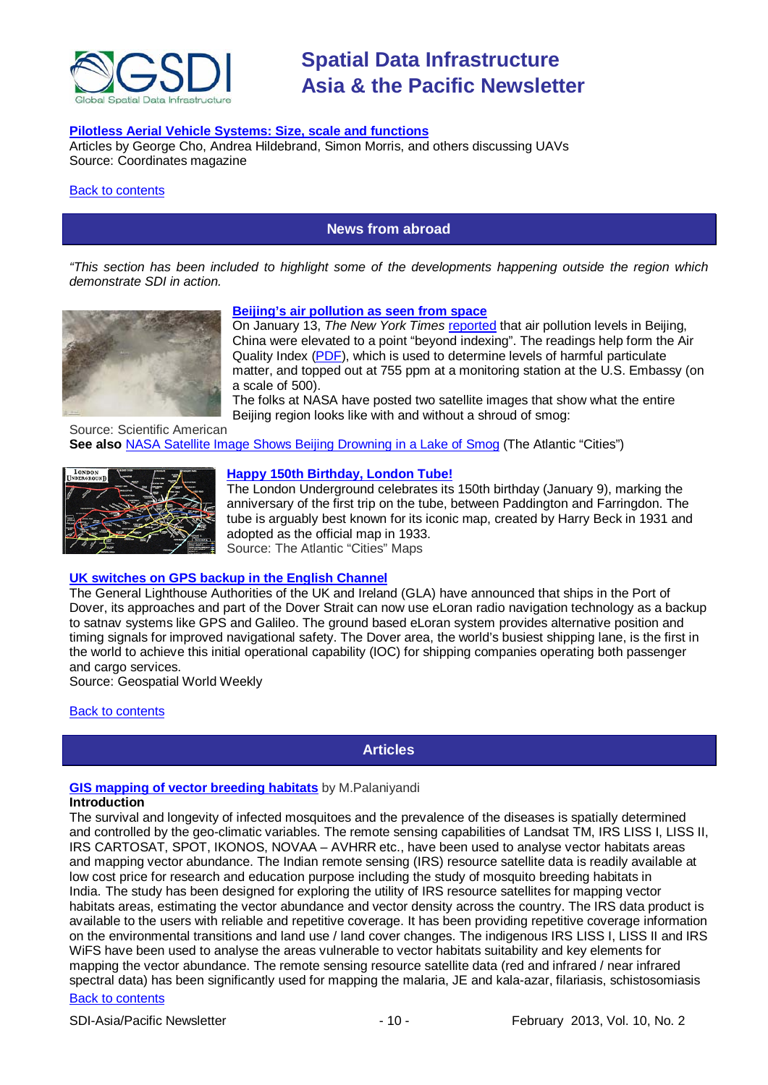

#### **[Pilotless Aerial Vehicle Systems: Size, scale and functions](http://mycoordinates.org/17004/)**

Articles by George Cho, Andrea Hildebrand, Simon Morris, and others discussing UAVs Source: Coordinates magazine

#### <span id="page-9-0"></span>[Back to contents](#page-0-0)

### **News from abroad**

*"This section has been included to highlight some of the developments happening outside the region which demonstrate SDI in action.*



#### **[Beijing's air pollution as seen from space](http://blogs.scientificamerican.com/plugged-in/2013/01/15/beijings-air-pollution-as-seen-from-space/?WT_mc_id=SA_DD_20130116)**

On January 13, *The New York Times* [reported](http://www.nytimes.com/2013/01/13/science/earth/beijing-air-pollution-off-the-charts.html) that air pollution levels in Beijing, China were elevated to a point "beyond indexing". The readings help form the Air Quality Index [\(PDF\)](http://www.epa.gov/air/particlepollution/2012/decfsstandards.pdf), which is used to determine levels of harmful particulate matter, and topped out at 755 ppm at a monitoring station at the U.S. Embassy (on a scale of 500).

The folks at NASA have posted two satellite images that show what the entire Beijing region looks like with and without a shroud of smog:

Source: Scientific American **See also** [NASA Satellite Image Shows Beijing Drowning in a Lake of Smog](http://www.theatlanticcities.com/neighborhoods/2013/01/nasa-satellite-image-shows-beijing-drowning-lake-smog/4397/) (The Atlantic "Cities")



#### **[Happy 150th Birthday, London Tube!](http://www.theatlanticcities.com/commute/2013/01/happy-birthday-london-tube/4352/)**

The London Underground celebrates its 150th birthday (January 9), marking the anniversary of the first trip on the tube, between Paddington and Farringdon. The tube is arguably best known for its iconic map, created by Harry Beck in 1931 and adopted as the official map in 1933.

Source: The Atlantic "Cities" Maps

#### **[UK switches on GPS backup in the English Channel](http://www.geospatialworld.net/News/View.aspx?id=26161_Article)**

The General Lighthouse Authorities of the UK and Ireland (GLA) have announced that ships in the Port of Dover, its approaches and part of the Dover Strait can now use eLoran radio navigation technology as a backup to satnav systems like GPS and Galileo. The ground based eLoran system provides alternative position and timing signals for improved navigational safety. The Dover area, the world's busiest shipping lane, is the first in the world to achieve this initial operational capability (IOC) for shipping companies operating both passenger and cargo services.

Source: Geospatial World Weekly

#### <span id="page-9-1"></span>[Back to contents](#page-0-0)

**Articles**

### **[GIS mapping of vector breeding habitats](http://www.geospatialworld.net/Paper/Application/ArticleView.aspx?aid=30406)** by M.Palaniyandi

#### **Introduction**

The survival and longevity of infected mosquitoes and the prevalence of the diseases is spatially determined and controlled by the geo-climatic variables. The remote sensing capabilities of Landsat TM, IRS LISS I, LISS II, IRS CARTOSAT, SPOT, IKONOS, NOVAA – AVHRR etc., have been used to analyse vector habitats areas and mapping vector abundance. The Indian remote sensing (IRS) resource satellite data is readily available at low cost price for research and education purpose including the study of mosquito breeding habitats in India. The study has been designed for exploring the utility of IRS resource satellites for mapping vector habitats areas, estimating the vector abundance and vector density across the country. The IRS data product is available to the users with reliable and repetitive coverage. It has been providing repetitive coverage information on the environmental transitions and land use / land cover changes. The indigenous IRS LISS I, LISS II and IRS WiFS have been used to analyse the areas vulnerable to vector habitats suitability and key elements for mapping the vector abundance. The remote sensing resource satellite data (red and infrared / near infrared spectral data) has been significantly used for mapping the malaria, JE and kala-azar, filariasis, schistosomiasis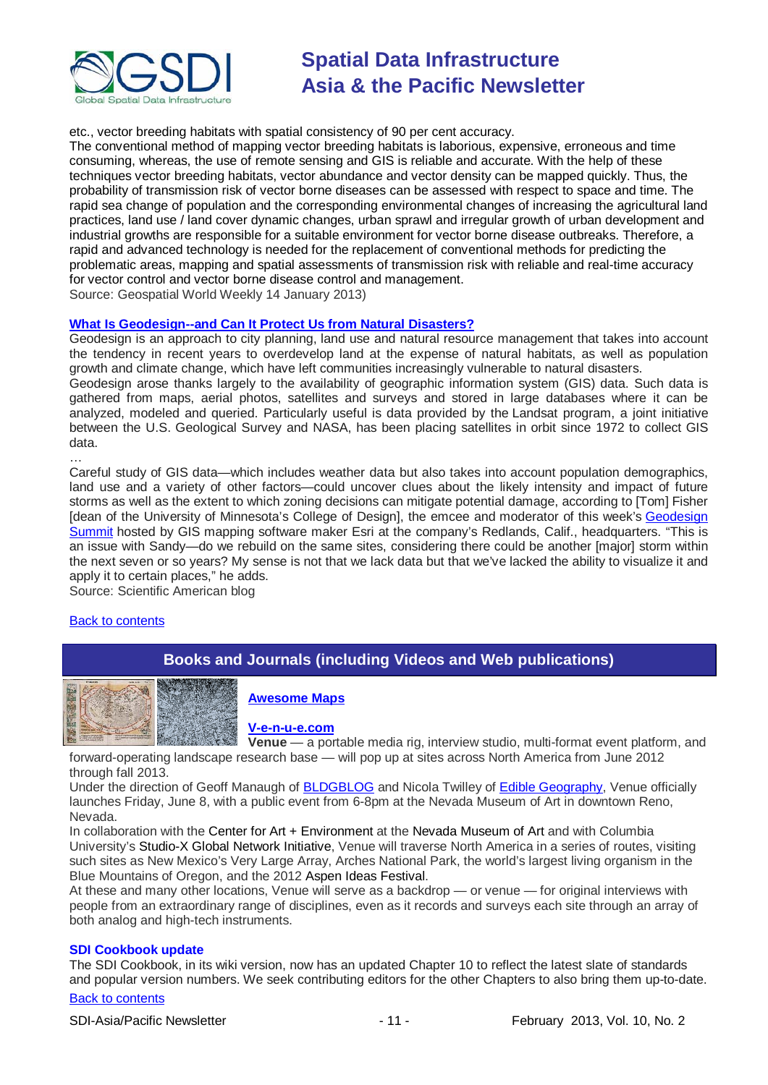

etc., vector breeding habitats with spatial consistency of 90 per cent accuracy.

The conventional method of mapping vector breeding habitats is laborious, expensive, erroneous and time consuming, whereas, the use of remote sensing and GIS is reliable and accurate. With the help of these techniques vector breeding habitats, vector abundance and vector density can be mapped quickly. Thus, the probability of transmission risk of vector borne diseases can be assessed with respect to space and time. The rapid sea change of population and the corresponding environmental changes of increasing the agricultural land practices, land use / land cover dynamic changes, urban sprawl and irregular growth of urban development and industrial growths are responsible for a suitable environment for vector borne disease outbreaks. Therefore, a rapid and advanced technology is needed for the replacement of conventional methods for predicting the problematic areas, mapping and spatial assessments of transmission risk with reliable and real-time accuracy for vector control and vector borne disease control and management.

Source: Geospatial World Weekly 14 January 2013)

#### **[What Is Geodesign--and Can It Protect Us from Natural Disasters?](http://blogs.scientificamerican.com/observations/2013/01/25/what-is-geodesign-and-can-it-protect-us-from-natural-disasters/?WT_mc_id=SA_CAT_TECH_20130129)**

Geodesign is an approach to city planning, land use and natural resource management that takes into account the tendency in recent years to overdevelop land at the expense of natural habitats, as well as population growth and climate change, which have left communities increasingly vulnerable to natural disasters. Geodesign arose thanks largely to the availability of geographic information system (GIS) data. Such data is gathered from maps, aerial photos, satellites and surveys and stored in large databases where it can be analyzed, modeled and queried. Particularly useful is data provided by the Landsat program, a joint initiative between the U.S. Geological Survey and NASA, has been placing satellites in orbit since 1972 to collect GIS data.

Careful study of GIS data—which includes weather data but also takes into account population demographics, land use and a variety of other factors—could uncover clues about the likely intensity and impact of future storms as well as the extent to which zoning decisions can mitigate potential damage, according to [Tom] Fisher [dean of the University of Minnesota's College of Design], the emcee and moderator of this week's [Geodesign](http://www.geodesignsummit.com/) [Summit](http://www.geodesignsummit.com/) hosted by GIS mapping software maker Esri at the company's Redlands, Calif., headquarters. "This is an issue with Sandy—do we rebuild on the same sites, considering there could be another [major] storm within the next seven or so years? My sense is not that we lack data but that we've lacked the ability to visualize it and apply it to certain places," he adds.

Source: Scientific American blog

#### <span id="page-10-0"></span>[Back to contents](#page-0-0)

…

# **Books and Journals (including Videos and Web publications)**



**[Awesome Maps](http://pinterest.com/gletham/awesome-maps/)**

**[V-e-n-u-e.com](http://v-e-n-u-e.com/About)**

**Venue** — a portable media rig, interview studio, multi-format event platform, and forward-operating landscape research base — will pop up at sites across North America from June 2012 through fall 2013.

Under the direction of Geoff Manaugh of [BLDGBLOG](http://bldgblog.blogspot.com/) and Nicola Twilley of [Edible Geography,](http://www.ediblegeography.com/) Venue officially launches Friday, June 8, with a public event from 6-8pm at the Nevada Museum of Art in downtown Reno, Nevada.

In collaboration with the Center for Art + Environment at the Nevada Museum of Art and with Columbia University's Studio-X Global Network Initiative, Venue will traverse North America in a series of routes, visiting such sites as New Mexico's Very Large Array, Arches National Park, the world's largest living organism in the Blue Mountains of Oregon, and the 2012 Aspen Ideas Festival.

At these and many other locations, Venue will serve as a backdrop — or venue — for original interviews with people from an extraordinary range of disciplines, even as it records and surveys each site through an array of both analog and high-tech instruments.

#### **SDI Cookbook update**

The SDI Cookbook, in its wiki version, now has an updated Chapter 10 to reflect the latest slate of standards and popular version numbers. We seek contributing editors for the other Chapters to also bring them up-to-date.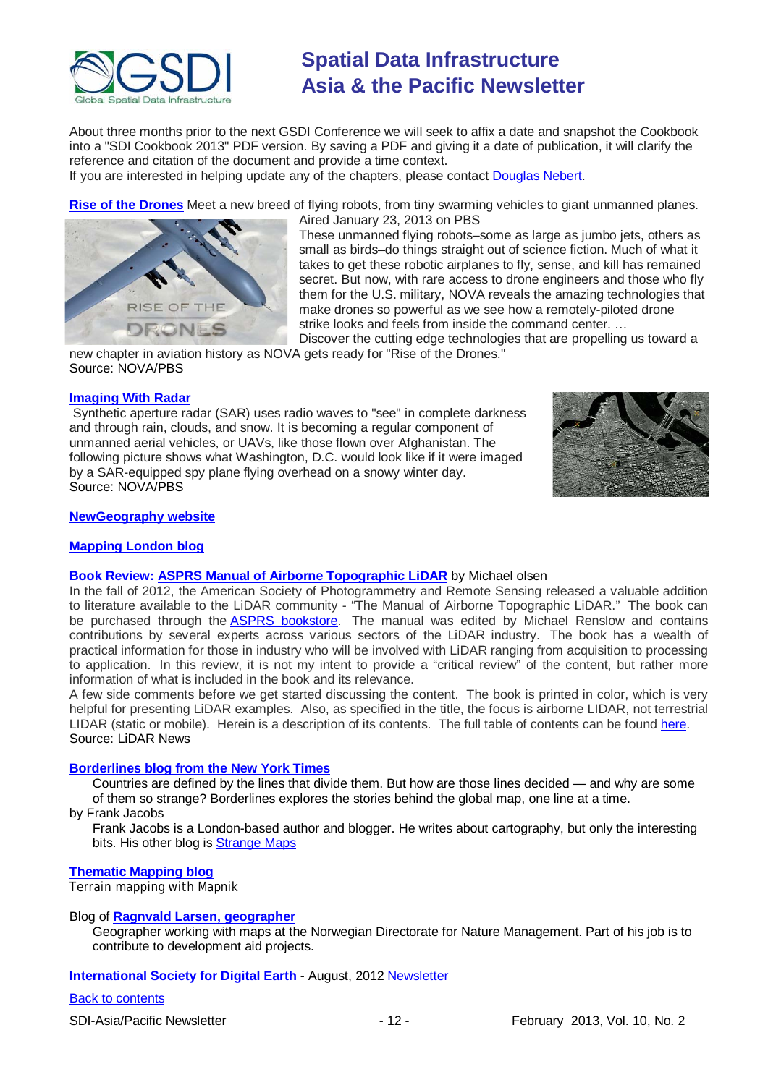

About three months prior to the next GSDI Conference we will seek to affix a date and snapshot the Cookbook into a "SDI Cookbook 2013" PDF version. By saving a PDF and giving it a date of publication, it will clarify the reference and citation of the document and provide a time context.

If you are interested in helping update any of the chapters, please contact [Douglas Nebert.](mailto:ddnebert@usgs.gov)

**[Rise of the Drones](http://www.pbs.org/wgbh/nova/military/rise-of-the-drones.html#.UQHwSjzvYYA.twitter)** Meet a new breed of flying robots, from tiny swarming vehicles to giant unmanned planes.



Aired January 23, 2013 on PBS These unmanned flying robots–some as large as jumbo jets, others as small as birds–do things straight out of science fiction. Much of what it takes to get these robotic airplanes to fly, sense, and kill has remained secret. But now, with rare access to drone engineers and those who fly them for the U.S. military, NOVA reveals the amazing technologies that make drones so powerful as we see how a remotely-piloted drone strike looks and feels from inside the command center. …

Discover the cutting edge technologies that are propelling us toward a new chapter in aviation history as NOVA gets ready for "Rise of the Drones." Source: NOVA/PBS

#### **[Imaging With Radar](http://www.pbs.org/wgbh/nova/military/imaging-radar.html)**

Synthetic aperture radar (SAR) uses radio waves to "see" in complete darkness and through rain, clouds, and snow. It is becoming a regular component of unmanned aerial vehicles, or UAVs, like those flown over Afghanistan. The following picture shows what Washington, D.C. would look like if it were imaged by a SAR-equipped spy plane flying overhead on a snowy winter day. Source: NOVA/PBS



#### **[NewGeography website](http://www.newgeography.com/)**

#### **[Mapping London blog](http://mappinglondon.co.uk/)**

#### **Book Review: [ASPRS Manual of Airborne Topographic LiDAR](http://www.lidarnews.com/content/view/9462/136/)** by Michael olsen

In the fall of 2012, the American Society of Photogrammetry and Remote Sensing released a valuable addition to literature available to the LiDAR community - "The Manual of Airborne Topographic LiDAR." The book can be purchased through the [ASPRS bookstore.](http://www.asprs.org/Publications-Other/Bookstore.html) The manual was edited by Michael Renslow and contains contributions by several experts across various sectors of the LiDAR industry. The book has a wealth of practical information for those in industry who will be involved with LiDAR ranging from acquisition to processing to application. In this review, it is not my intent to provide a "critical review" of the content, but rather more information of what is included in the book and its relevance.

A few side comments before we get started discussing the content. The book is printed in color, which is very helpful for presenting LiDAR examples. Also, as specified in the title, the focus is airborne LIDAR, not terrestrial LIDAR (static or mobile). Herein is a description of its contents. The full table of contents can be found [here.](http://www.asprs.org/a/publications/LiDAR_TOC.pdf) Source: LiDAR News

#### **[Borderlines blog from the New York Times](http://opinionator.blogs.nytimes.com/category/borderlines/)**

Countries are defined by the lines that divide them. But how are those lines decided — and why are some of them so strange? Borderlines explores the stories behind the global map, one line at a time.

by Frank Jacobs

Frank Jacobs is a London-based author and blogger. He writes about cartography, but only the interesting bits. His other blog is [Strange Maps](http://bigthink.com/blogs/strange-maps)

#### **[Thematic Mapping blog](http://blog.thematicmapping.org/)**

Terrain mapping with Mapnik

#### Blog of **[Ragnvald Larsen, geographer](http://www.mindland.com/wp/)**

Geographer working with maps at the Norwegian Directorate for Nature Management. Part of his job is to contribute to development aid projects.

#### **International Society for Digital Earth - August, 2012 [Newsletter](http://www.digitalearth-isde.org/news/isde-newsletter(201208).html)**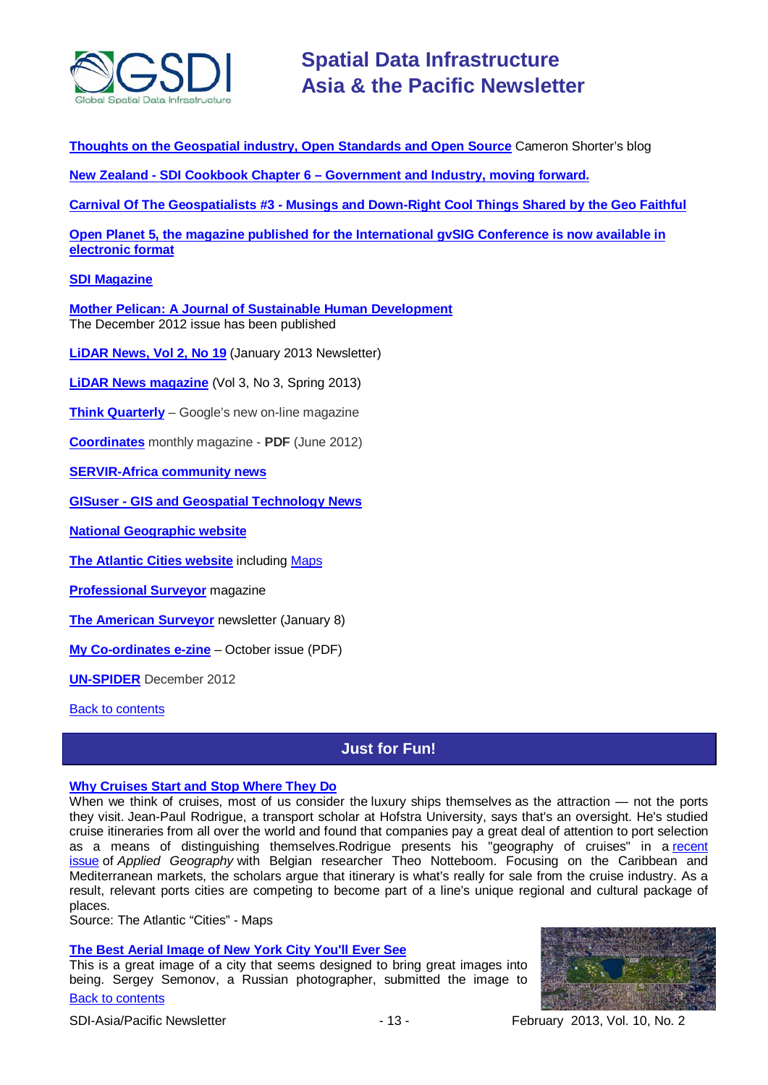

**[Thoughts on the Geospatial industry, Open Standards and Open Source](http://cameronshorter.blogspot.com/2011/06/memoirs-of-cat-herder-coordinating.html)** Cameron Shorter's blog

**New Zealand - SDI Cookbook Chapter 6 – [Government and Industry, moving](http://www.geospatial.govt.nz/sdi-cookbook-chapter-6-government-and-industry-moving-forward) forward.**

**Carnival Of The Geospatialists #3 - [Musings and Down-Right Cool Things Shared by the Geo Faithful](http://www.gisuser.com/content/view/25690/28/)**

**Open Planet 5, the magazine [published for the International gvSIG Conference is now available in](http://jornadas.gvsig.org/descargas/magazine)  [electronic format](http://jornadas.gvsig.org/descargas/magazine)**

### **[SDI Magazine](http://www.sdimag.com/)**

**[Mother Pelican: A Journal of Sustainable Human Development](http://www.pelicanweb.org/solisustv08n12page1.html)** The December 2012 issue has been published

**[LiDAR News, Vol 2, No 19](http://www.lidarnews.com/newsletter/Vol3No1.htm)** (January 2013 Newsletter)

**[LiDAR News magazine](http://www.lidarnews.com/newsletter/Vol3No3.htm)** (Vol 3, No 3, Spring 2013)

**[Think Quarterly](http://thinkquarterly.co.uk/#aboutthebook)** – Google's new on-line magazine

**[Coordinates](http://mycoordinates.org/pdf/jun12.pdf)** monthly magazine - **PDF** (June 2012)

**[SERVIR-Africa community news](http://www.servirglobal.net/africa/en/News/CommunityNews.aspx)**

**GISuser - [GIS and Geospatial Technology News](http://www.gisuser.com/)**

**[National Geographic website](http://www.nationalgeographic.com/)**

**[The Atlantic Cities website](http://www.theatlanticcities.com/)** including [Maps](http://www.theatlanticcities.com/posts/map/)

**[Professional Surveyor](http://www.profsurv.com/)** magazine

**[The American Surveyor](http://www.amerisurv.com/newsletter/08JAN2013.htm)** newsletter (January 8)

**[My Co-ordinates e-zine](http://mycoordinates.org/pdf/oct12.pdf)** – October issue (PDF)

**[UN-SPIDER](http://www.un-spider.org/about/updates/un-spider-updates-december-2012)** December 2012

<span id="page-12-0"></span>**[Back to contents](#page-0-0)** 

# **Just for Fun!**

#### **[Why Cruises Start and Stop Where They Do](http://www.theatlanticcities.com/jobs-and-economy/2013/01/why-cruises-start-and-stop-where-they-do/4366/)**

When we think of cruises, most of us consider the luxury ships themselves as the attraction — not the ports they visit. Jean-Paul Rodrigue, a transport scholar at Hofstra University, says that's an oversight. He's studied cruise itineraries from all over the world and found that companies pay a great deal of attention to port selection as a means of distinguishing themselves.Rodrigue presents his "geography of cruises" in a<sub>.</sub>r.ecent [issue](http://www.sciencedirect.com/science/article/pii/S0143622812001373) of *Applied Geography* with Belgian researcher Theo Notteboom. Focusing on the Caribbean and Mediterranean markets, the scholars argue that itinerary is what's really for sale from the cruise industry. As a result, relevant ports cities are competing to become part of a line's unique regional and cultural package of places.

Source: The Atlantic "Cities" - Maps

#### **[The Best Aerial Image of New York City You'll Ever See](http://www.theatlantic.com/technology/archive/2013/01/the-best-aerial-image-of-new-york-city-youll-ever-see/267018/)**

[Back to contents](#page-0-0) This is a great image of a city that seems designed to bring great images into being. Sergey Semonov, a Russian photographer, submitted the image to



SDI-Asia/Pacific Newsletter 13 - 13 - February 2013, Vol. 10, No. 2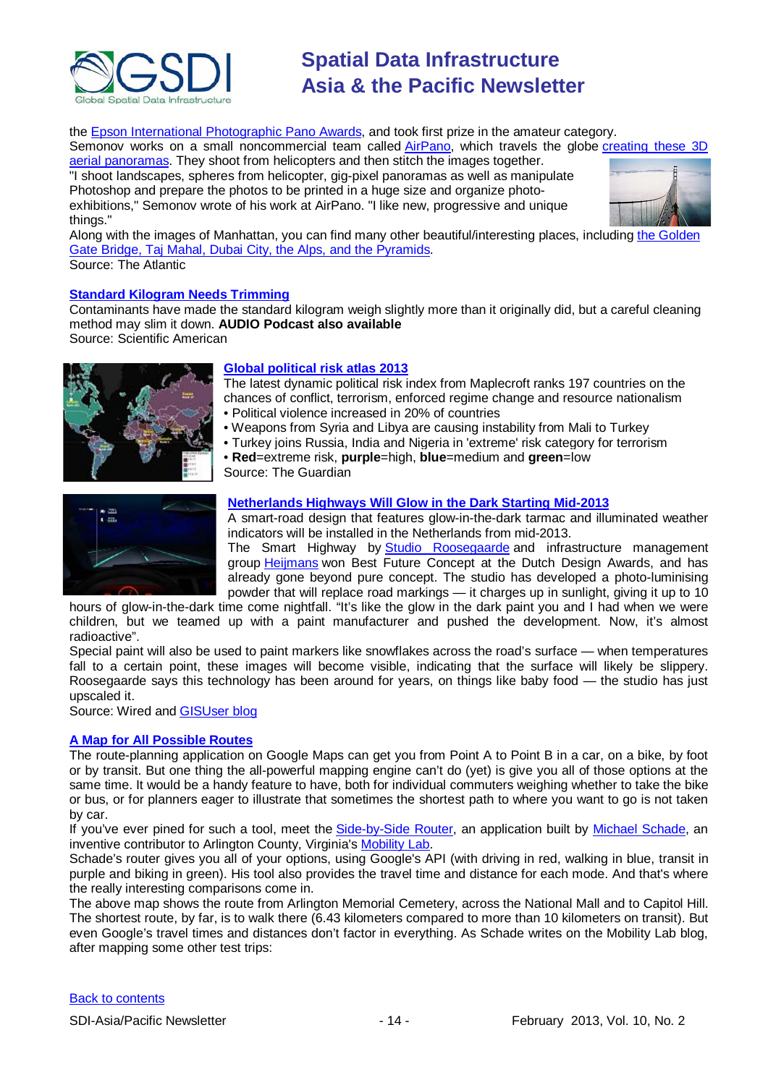

the **Epson International Photographic Pano Awards**, and took first prize in the amateur category.

Semonov works on a small noncommercial team called [AirPano,](http://www.airpano.com/) which travels the globe [creating these 3D](http://www.airpano.com/Photogallery-Photo.php?author=5&photo=261) 

[aerial panoramas.](http://www.airpano.com/Photogallery-Photo.php?author=5&photo=261) They shoot from helicopters and then stitch the images together. "I shoot landscapes, spheres from helicopter, gig-pixel panoramas as well as manipulate Photoshop and prepare the photos to be printed in a huge size and organize photoexhibitions," Semonov wrote of his work at AirPano. "I like new, progressive and unique things."



Along with the images of Manhattan, you can find many other beautiful/interesting places, including [the Golden](http://www.airpano.com/List-Aerial-Panoramas-Top10.php)  [Gate Bridge, Taj Mahal, Dubai City, the Alps, and the Pyramids.](http://www.airpano.com/List-Aerial-Panoramas-Top10.php) Source: The Atlantic

#### **[Standard Kilogram Needs Trimming](http://www.scientificamerican.com/podcast/episode.cfm?id=standard-kilogram-needs-trimming-13-01-15&WT.mc_id=SA_DD_20130116)**

Contaminants have made the standard kilogram weigh slightly more than it originally did, but a careful cleaning method may slim it down. **AUDIO Podcast also available** Source: Scientific American

### **[Global political](http://www.guardian.co.uk/business/datablog/interactive/2013/jan/09/global-political-risk-atlas-index-2013-maplecroft) risk atlas 2013**

The latest dynamic political risk index from Maplecroft ranks 197 countries on the chances of conflict, terrorism, enforced regime change and resource nationalism

- Political violence increased in 20% of countries
- Weapons from Syria and Libya are causing instability from Mali to Turkey
- Turkey joins Russia, India and Nigeria in 'extreme' risk category for terrorism
- **Red**=extreme risk, **purple**=high, **blue**=medium and **green**=low



Source: The Guardian

#### **[Netherlands Highways Will Glow in the Dark Starting Mid-2013](http://www.wired.com/autopia/2012/10/glowing-roads/)**

A smart-road design that features glow-in-the-dark tarmac and illuminated weather indicators will be installed in the Netherlands from mid-2013.

The Smart Highway by [Studio Roosegaarde](http://www.studioroosegaarde.net/info/) and infrastructure management group [Heijmans](http://www.heijmans.nl/) won Best Future Concept at the Dutch Design Awards, and has already gone beyond pure concept. The studio has developed a photo-luminising powder that will replace road markings — it charges up in sunlight, giving it up to 10

hours of glow-in-the-dark time come nightfall. "It's like the glow in the dark paint you and I had when we were children, but we teamed up with a paint manufacturer and pushed the development. Now, it's almost radioactive".

Special paint will also be used to paint markers like snowflakes across the road's surface — when temperatures fall to a certain point, these images will become visible, indicating that the surface will likely be slippery. Roosegaarde says this technology has been around for years, on things like baby food — the studio has just upscaled it.

Source: Wired and [GISUser blog](http://www.gisuser.com/content/view/28836/222/)

#### **[A Map for All Possible Routes](http://www.theatlanticcities.com/commute/2013/01/map-all-possible-routes/4442/)**

The route-planning application on Google Maps can get you from Point A to Point B in a car, on a bike, by foot or by transit. But one thing the all-powerful mapping engine can't do (yet) is give you all of those options at the same time. It would be a handy feature to have, both for individual commuters weighing whether to take the bike or bus, or for planners eager to illustrate that sometimes the shortest path to where you want to go is not taken by car.

If you've ever pined for such a tool, meet the [Side-by-Side Router,](http://mobilitylab.org/2013/01/18/side-by-side-router-compares-driving-walking-biking-and-transit/) an application built by [Michael Schade,](http://www.mvjantzen.com/blog/) an inventive contributor to Arlington County, Virginia's [Mobility Lab.](http://mobilitylab.org/)

Schade's router gives you all of your options, using Google's API (with driving in red, walking in blue, transit in purple and biking in green). His tool also provides the travel time and distance for each mode. And that's where the really interesting comparisons come in.

The above map shows the route from Arlington Memorial Cemetery, across the National Mall and to Capitol Hill. The shortest route, by far, is to walk there (6.43 kilometers compared to more than 10 kilometers on transit). But even Google's travel times and distances don't factor in everything. As Schade writes on the Mobility Lab blog, after mapping some other test trips: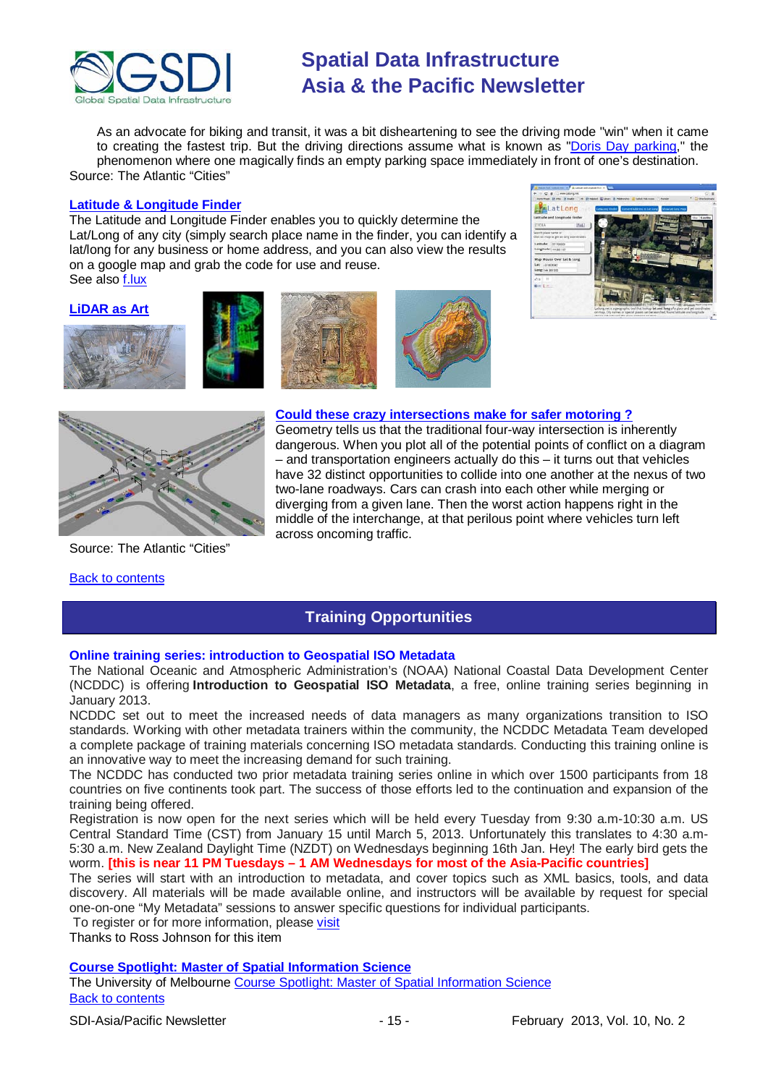

As an advocate for biking and transit, it was a bit disheartening to see the driving mode "win" when it came to creating the fastest trip. But the driving directions assume what is known as ["Doris Day parking,](http://www.urbandictionary.com/define.php?term=Doris%20Day%20Parking)" the phenomenon where one magically finds an empty parking space immediately in front of one's destination. Source: The Atlantic "Cities"

#### **[Latitude & Longitude](http://www.latlong.net/) Finder**

The Latitude and Longitude Finder enables you to quickly determine the Lat/Long of any city (simply search place name in the finder, you can identify a lat/long for any business or home address, and you can also view the results on a google map and grab the code for use and reuse. See also [f.lux](http://stereopsis.com/flux/)













Source: The Atlantic "Cities"

#### <span id="page-14-0"></span>[Back to contents](#page-0-0)

#### **[Could these crazy intersections make for safer motoring ?](http://www.theatlanticcities.com/commute/2013/01/could-these-crazy-intersections-make-us-safer/4467/)**

Geometry tells us that the traditional four-way intersection is inherently dangerous. When you plot all of the potential points of conflict on a diagram – and transportation engineers actually do this – it turns out that vehicles have 32 distinct opportunities to collide into one another at the nexus of two two-lane roadways. Cars can crash into each other while merging or diverging from a given lane. Then the worst action happens right in the middle of the interchange, at that perilous point where vehicles turn left across oncoming traffic.

# **Training Opportunities**

#### **Online training series: introduction to Geospatial ISO Metadata**

The National Oceanic and Atmospheric Administration's (NOAA) National Coastal Data Development Center (NCDDC) is offering **Introduction to Geospatial ISO Metadata**, a free, online training series beginning in January 2013.

NCDDC set out to meet the increased needs of data managers as many organizations transition to ISO standards. Working with other metadata trainers within the community, the NCDDC Metadata Team developed a complete package of training materials concerning ISO metadata standards. Conducting this training online is an innovative way to meet the increasing demand for such training.

The NCDDC has conducted two prior metadata training series online in which over 1500 participants from 18 countries on five continents took part. The success of those efforts led to the continuation and expansion of the training being offered.

Registration is now open for the next series which will be held every Tuesday from 9:30 a.m-10:30 a.m. US Central Standard Time (CST) from January 15 until March 5, 2013. Unfortunately this translates to 4:30 a.m-5:30 a.m. New Zealand Daylight Time (NZDT) on Wednesdays beginning 16th Jan. Hey! The early bird gets the worm. **[this is near 11 PM Tuesdays – 1 AM Wednesdays for most of the Asia-Pacific countries]**

The series will start with an introduction to metadata, and cover topics such as XML basics, tools, and data discovery. All materials will be made available online, and instructors will be available by request for special one-on-one "My Metadata" sessions to answer specific questions for individual participants.

To register or for more information, please [visit](http://www.ncddc.noaa.gov/metadata-standards/metadata-training/course-one/)

Thanks to Ross Johnson for this item

### **[Course Spotlight: Master of Spatial Information Science](http://themelbourneengineer.eng.unimelb.edu.au/2012/02/course-spotlight-master-of-spatial-information-science/)**

[Back to contents](#page-0-0) The University of Melbourne [Course Spotlight: Master of Spatial Information Science](http://themelbourneengineer.eng.unimelb.edu.au/2012/02/course-spotlight-master-of-spatial-information-science/)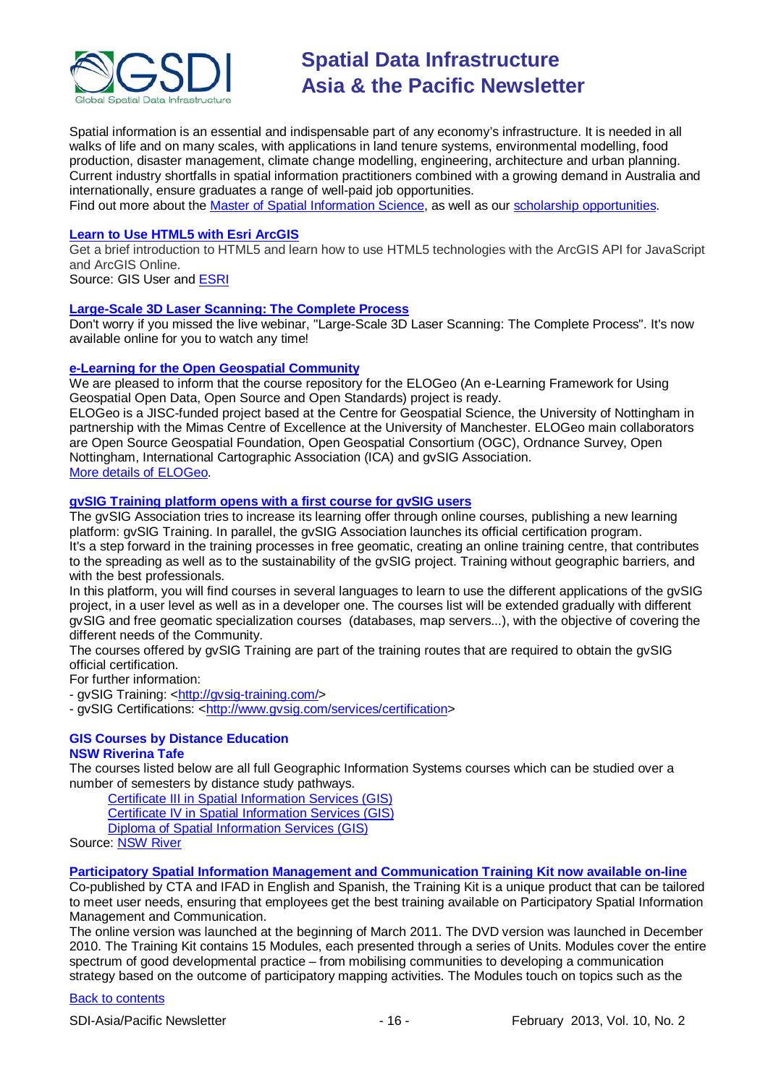

Spatial information is an essential and indispensable part of any economy's infrastructure. It is needed in all walks of life and on many scales, with applications in land tenure systems, environmental modelling, food production, disaster management, climate change modelling, engineering, architecture and urban planning. Current industry shortfalls in spatial information practitioners combined with a growing demand in Australia and internationally, ensure graduates a range of well-paid job opportunities.

Find out more about the [Master of Spatial Information Science,](http://www.msi.unimelb.edu.au/study/graduate/master-of-spatial-information-science/) as well as our [scholarship opportunities.](http://www.eng.unimelb.edu.au/study/graduate/scholarships.html)

#### **[Learn to Use HTML5 with Esri ArcGIS](http://www.gisuser.com/content/view/25915/2/)**

Get a brief introduction to HTML5 and learn how to use HTML5 technologies with the ArcGIS API for JavaScript and ArcGIS Online.

Source: GIS User and [ESRI](http://training.esri.com/Gateway/index.cfm?fa=seminars.gateway)

#### **[Large-Scale 3D Laser Scanning: The Complete Process](http://www.faro.com/site/resources/details/1373?CampaignId=70170000000bbwr)**

Don't worry if you missed the live webinar, "Large-Scale 3D Laser Scanning: The Complete Process". It's now available online for you to watch any time!

#### **e-Learning [for the Open Geospatial Community](http://elogeo.nottingham.ac.uk/xmlui)**

We are pleased to inform that the course repository for the ELOGeo (An e-Learning Framework for Using Geospatial Open Data, Open Source and Open Standards) project is ready.

ELOGeo is a JISC-funded project based at the Centre for Geospatial Science, the University of Nottingham in partnership with the Mimas Centre of Excellence at the University of Manchester. ELOGeo main collaborators are Open Source Geospatial Foundation, Open Geospatial Consortium (OGC), Ordnance Survey, Open Nottingham, International Cartographic Association (ICA) and gvSIG Association. [More details of ELOGeo.](http://elogeo.nottingham.ac.uk/index.html)

### **gvSIG Training platform opens with a first course for gvSIG users**

The gvSIG Association tries to increase its learning offer through online courses, publishing a new learning platform: gvSIG Training. In parallel, the gvSIG Association launches its official certification program. It's a step forward in the training processes in free geomatic, creating an online training centre, that contributes to the spreading as well as to the sustainability of the gvSIG project. Training without geographic barriers, and with the best professionals.

In this platform, you will find courses in several languages to learn to use the different applications of the gvSIG project, in a user level as well as in a developer one. The courses list will be extended gradually with different gvSIG and free geomatic specialization courses (databases, map servers...), with the objective of covering the different needs of the Community.

The courses offered by gvSIG Training are part of the training routes that are required to obtain the gvSIG official certification.

For further information:

- gvSIG Training: [<http://gvsig-training.com/>](http://gvsig-training.com/)

- gvSIG Certifications: [<http://www.gvsig.com/services/certification>](http://www.gvsig.com/services/certification)

# **GIS Courses by Distance Education**

### **NSW Riverina Tafe**

The courses listed below are all full Geographic Information Systems courses which can be studied over a number of semesters by distance study pathways.

[Certificate III in Spatial Information Services \(GIS\)](http://www.rit.tafensw.edu.au/nec/nrme/giscourses#Cert III in Spatial Information Services (CPP30109))

[Certificate IV in Spatial Information Services \(GIS\)](http://www.rit.tafensw.edu.au/nec/nrme/giscourses#Cert IV in Spatial Information Services (CPP40209))

[Diploma of Spatial Information Services \(GIS\)](http://www.rit.tafensw.edu.au/nec/nrme/giscourses#Diploma of Spatial Information Services (CPP50207))

Sourc[e: NSW River](http://www.rit.tafensw.edu.au/nec/nrme/giscourses)

#### **[Participatory Spatial Information Management and Communication Training Kit now available on-line](http://www.cta.int/en/About-us/CTA-news/Participatory-Spatial-Information-Management-and-Communication-Training-Kit-now-available-on-line)**

Co-published by CTA and IFAD in English and Spanish, the Training Kit is a unique product that can be tailored to meet user needs, ensuring that employees get the best training available on Participatory Spatial Information Management and Communication.

The [online version](http://pgis-tk.cta.int/) was launched at the beginning of March 2011. The DVD version was launched in December 2010. The Training Kit contains 15 Modules, each presented through a series of Units. Modules cover the entire spectrum of good developmental practice – from mobilising communities to developing a communication strategy based on the outcome of participatory mapping activities. The Modules touch on topics such as the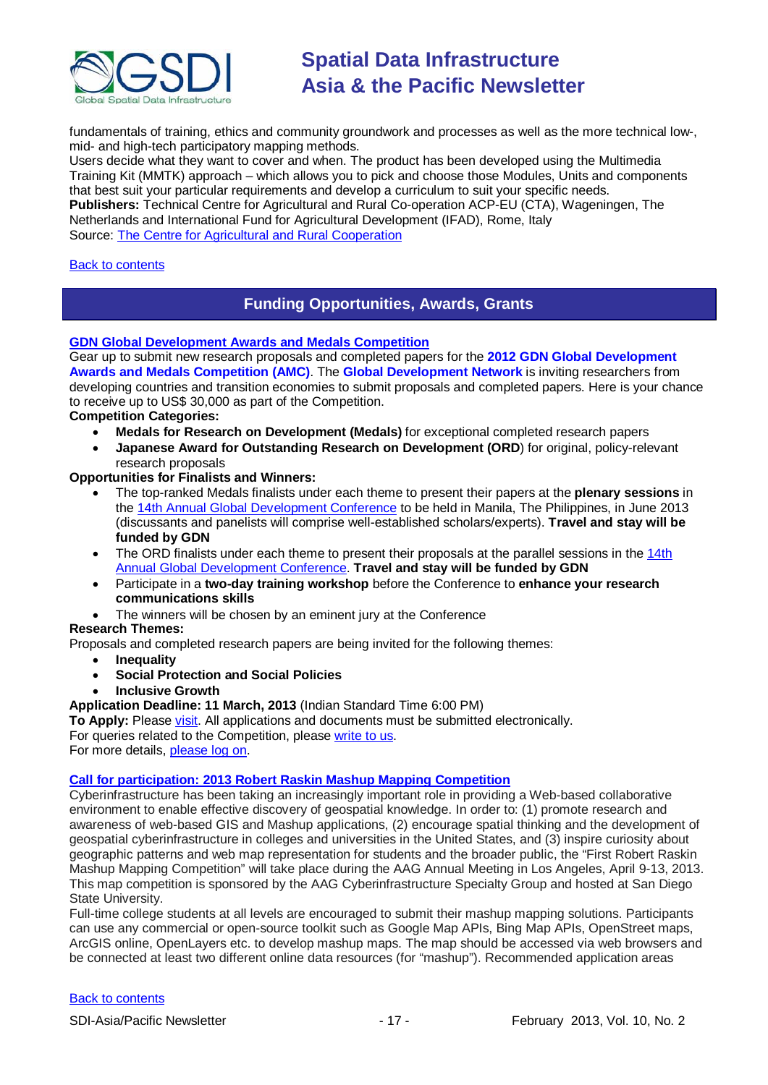

fundamentals of training, ethics and community groundwork and processes as well as the more technical low-, mid- and high-tech participatory mapping methods.

Users decide what they want to cover and when. The product has been developed using the Multimedia Training Kit (MMTK) approach – which allows you to pick and choose those Modules, Units and components that best suit your particular requirements and develop a curriculum to suit your specific needs. **Publishers:** Technical Centre for Agricultural and Rural Co-operation ACP-EU (CTA), Wageningen, The Netherlands and International Fund for Agricultural Development (IFAD), Rome, Italy Source: [The Centre for Agricultural and Rural Cooperation](http://www.cta.int/en/About-us/Who-we-are)

#### <span id="page-16-0"></span>[Back to contents](#page-0-0)

# **Funding Opportunities, Awards, Grants**

#### **[GDN Global Development Awards and Medals Competition](http://www.gdn.int/html/page2.php?MID=3&SID=24&SSID=70&SCID=32)**

Gear up to submit new research proposals and completed papers for the **2012 GDN Global Development Awards and Medals Competition (AMC)**. The **Global Development Network** is inviting researchers from developing countries and transition economies to submit proposals and completed papers. Here is your chance to receive up to US\$ 30,000 as part of the Competition.

### **Competition Categories:**

- **Medals for Research on Development (Medals)** for exceptional completed research papers
- **Japanese Award for Outstanding Research on Development (ORD**) for original, policy-relevant research proposals

#### **Opportunities for Finalists and Winners:**

- The top-ranked Medals finalists under each theme to present their papers at the **plenary sessions** in the [14th Annual Global Development Conference](http://www.gdn.int/admin/uploads/editor/files/GDN2012_Conf.pdf) to be held in Manila, The Philippines, in June 2013 (discussants and panelists will comprise well-established scholars/experts). **Travel and stay will be funded by GDN**
- The ORD finalists under each theme to present their proposals at the parallel sessions in the 14th [Annual Global Development Conference.](http://www.gdn.int/admin/uploads/editor/files/GDN2012_Conf.pdf) **Travel and stay will be funded by GDN**
- Participate in a **two-day training workshop** before the Conference to **enhance your research communications skills**
	- The winners will be chosen by an eminent jury at the Conference

#### **Research Themes:**

Proposals and completed research papers are being invited for the following themes:

- **Inequality**
- **Social Protection and Social Policies**
- **Inclusive Growth**

**Application Deadline: 11 March, 2013** (Indian Standard Time 6:00 PM)

**To Apply:** Please [visit.](http://www.gdn.int/amc) All applications and documents must be submitted electronically. For queries related to the Competition, please [write to us.](mailto:awards@gdn.int) For more details, [please log on.](http://www.gdn.int/html/page2.php?MID=3&SID=24&SSID=70&SCID=32)

#### **Call for participation: 2013 Robert Raskin Mashup Mapping Competition**

Cyberinfrastructure has been taking an increasingly important role in providing a Web-based collaborative environment to enable effective discovery of geospatial knowledge. In order to: (1) promote research and awareness of web-based GIS and Mashup applications, (2) encourage spatial thinking and the development of geospatial cyberinfrastructure in colleges and universities in the United States, and (3) inspire curiosity about geographic patterns and web map representation for students and the broader public, the "First Robert Raskin Mashup Mapping Competition" will take place during the AAG Annual Meeting in Los Angeles, April 9-13, 2013. This map competition is sponsored by the AAG Cyberinfrastructure Specialty Group and hosted at San Diego State University.

Full-time college students at all levels are encouraged to submit their mashup mapping solutions. Participants can use any commercial or open-source toolkit such as Google Map APIs, Bing Map APIs, OpenStreet maps, ArcGIS online, OpenLayers etc. to develop mashup maps. The map should be accessed via web browsers and be connected at least two different online data resources (for "mashup"). Recommended application areas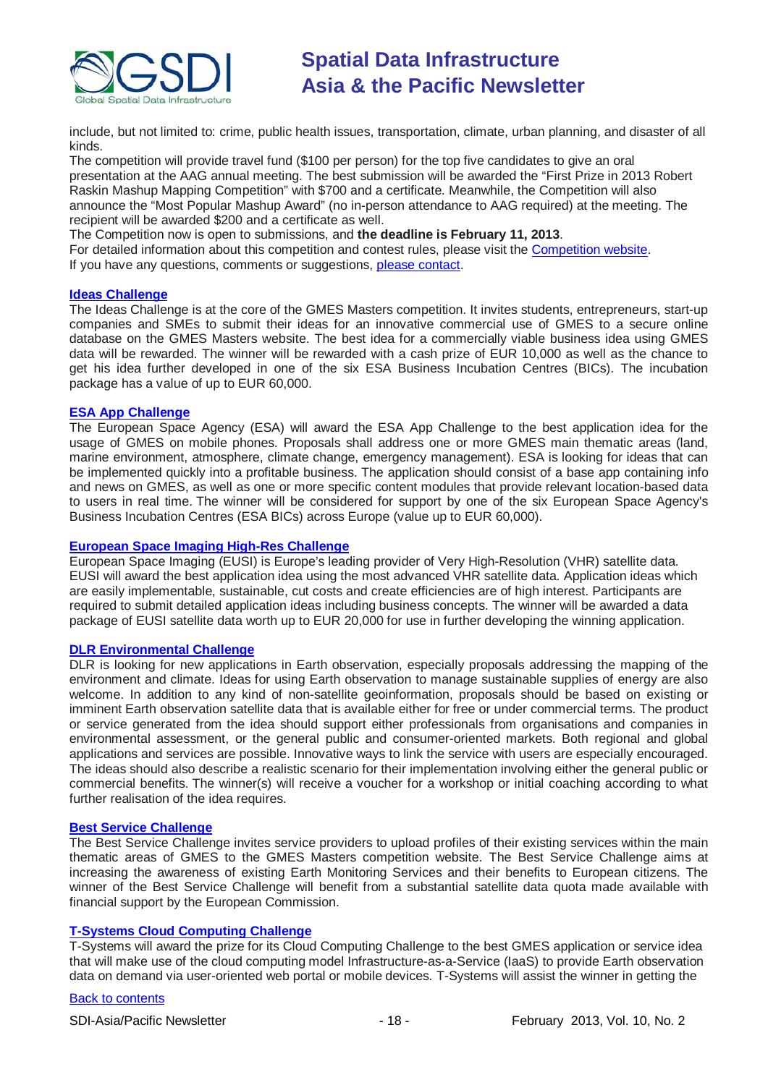

include, but not limited to: crime, public health issues, transportation, climate, urban planning, and disaster of all kinds.

The competition will provide travel fund (\$100 per person) for the top five candidates to give an oral presentation at the AAG annual meeting. The best submission will be awarded the "First Prize in 2013 Robert Raskin Mashup Mapping Competition" with \$700 and a certificate. Meanwhile, the Competition will also announce the "Most Popular Mashup Award" (no in-person attendance to AAG required) at the meeting. The recipient will be awarded \$200 and a certificate as well.

The Competition now is open to submissions, and **the deadline is February 11, 2013**.

For detailed information about this competition and contest rules, please visit the [Competition](http://mappingideas.sdsu.edu/mashup/) website. If you have any questions, comments or suggestions, [please contact.](mailto:bmc@geography.sdsu.edu)

#### **[Ideas Challenge](http://www.gmes-masters.com/ideas-challenge)**

The Ideas Challenge is at the core of the GMES Masters competition. It invites students, entrepreneurs, start-up companies and SMEs to submit their ideas for an innovative commercial use of GMES to a secure online database on the GMES Masters website. The best idea for a commercially viable business idea using GMES data will be rewarded. The winner will be rewarded with a cash prize of EUR 10,000 as well as the chance to get his idea further developed in one of the six ESA Business Incubation Centres (BICs). The incubation package has a value of up to EUR 60,000.

#### **[ESA App Challenge](http://www.gmes-masters.com/esa-app-challenge)**

The European Space Agency (ESA) will award the ESA App Challenge to the best application idea for the usage of GMES on mobile phones. Proposals shall address one or more GMES main thematic areas (land, marine environment, atmosphere, climate change, emergency management). ESA is looking for ideas that can be implemented quickly into a profitable business. The application should consist of a base app containing info and news on GMES, as well as one or more specific content modules that provide relevant location-based data to users in real time. The winner will be considered for support by one of the six European Space Agency's Business Incubation Centres (ESA BICs) across Europe (value up to EUR 60,000).

#### **[European Space Imaging High-Res Challenge](http://www.gmes-masters.com/european-space-0)**

European Space Imaging (EUSI) is Europe's leading provider of Very High-Resolution (VHR) satellite data. EUSI will award the best application idea using the most advanced VHR satellite data. Application ideas which are easily implementable, sustainable, cut costs and create efficiencies are of high interest. Participants are required to submit detailed application ideas including business concepts. The winner will be awarded a data package of EUSI satellite data worth up to EUR 20,000 for use in further developing the winning application.

#### **[DLR Environmental Challenge](http://www.gmes-masters.com/dlr-environmental)**

DLR is looking for new applications in Earth observation, especially proposals addressing the mapping of the environment and climate. Ideas for using Earth observation to manage sustainable supplies of energy are also welcome. In addition to any kind of non-satellite geoinformation, proposals should be based on existing or imminent Earth observation satellite data that is available either for free or under commercial terms. The product or service generated from the idea should support either professionals from organisations and companies in environmental assessment, or the general public and consumer-oriented markets. Both regional and global applications and services are possible. Innovative ways to link the service with users are especially encouraged. The ideas should also describe a realistic scenario for their implementation involving either the general public or commercial benefits. The winner(s) will receive a voucher for a workshop or initial coaching according to what further realisation of the idea requires.

#### **[Best Service Challenge](http://www.gmes-masters.com/best-service)**

The Best Service Challenge invites service providers to upload profiles of their existing services within the main thematic areas of GMES to the GMES Masters competition website. The Best Service Challenge aims at increasing the awareness of existing Earth Monitoring Services and their benefits to European citizens. The winner of the Best Service Challenge will benefit from a substantial satellite data quota made available with financial support by the European Commission.

### **[T-Systems Cloud Computing Challenge](http://www.gmes-masters.com/t-systems-cloud)**

T-Systems will award the prize for its Cloud Computing Challenge to the best GMES application or service idea that will make use of the cloud computing model Infrastructure-as-a-Service (IaaS) to provide Earth observation data on demand via user-oriented web portal or mobile devices. T-Systems will assist the winner in getting the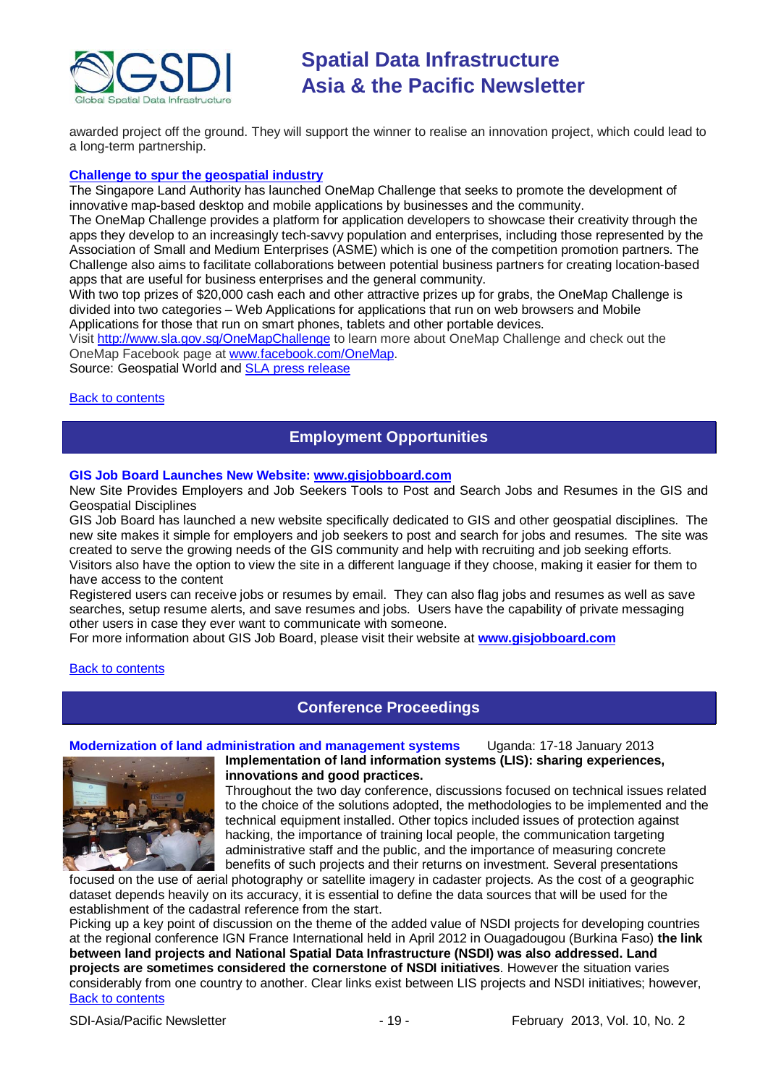

awarded project off the ground. They will support the winner to realise an innovation project, which could lead to a long-term partnership.

#### **[Challenge to spur the geospatial industry](http://geospatialworld.net/index.php?option=com_content&view=article&id=23850:challenge-to-spur-the-geospatial-industry&catid=75:miscellaneous-events)**

The Singapore Land Authority has launched OneMap Challenge that seeks to promote the development of innovative map-based desktop and mobile applications by businesses and the community.

The OneMap Challenge provides a platform for application developers to showcase their creativity through the apps they develop to an increasingly tech-savvy population and enterprises, including those represented by the Association of Small and Medium Enterprises (ASME) which is one of the competition promotion partners. The Challenge also aims to facilitate collaborations between potential business partners for creating location-based apps that are useful for business enterprises and the general community.

With two top prizes of \$20,000 cash each and other attractive prizes up for grabs, the OneMap Challenge is divided into two categories – Web Applications for applications that run on web browsers and Mobile Applications for those that run on smart phones, tablets and other portable devices.

Visit <http://www.sla.gov.sg/OneMapChallenge> to learn more about OneMap Challenge and check out the OneMap Facebook page at [www.facebook.com/OneMap.](http://www.facebook.com/OneMap)

<span id="page-18-0"></span>Source: Geospatial World and [SLA press release](http://www.sla.gov.sg/htm/new/new2012/new0401.htm)

#### [Back to contents](#page-0-0)

# **Employment Opportunities**

#### **GIS Job Board Launches New Website: [www.gisjobboard.com](http://www.gisjobboard.com/)**

New Site Provides Employers and Job Seekers Tools to Post and Search Jobs and Resumes in the GIS and Geospatial Disciplines

GIS Job Board has launched a new website specifically dedicated to GIS and other geospatial disciplines. The new site makes it simple for employers and job seekers to post and search for jobs and resumes. The site was created to serve the growing needs of the GIS community and help with recruiting and job seeking efforts. Visitors also have the option to view the site in a different language if they choose, making it easier for them to have access to the content

Registered users can receive jobs or resumes by email. They can also flag jobs and resumes as well as save searches, setup resume alerts, and save resumes and jobs. Users have the capability of private messaging other users in case they ever want to communicate with someone.

For more information about GIS Job Board, please visit their website at **[www.gisjobboard.com](http://www.gisjobboard.com/)**

<span id="page-18-1"></span>[Back to contents](#page-0-0)

### **Conference Proceedings**

**Modernization of land administration and management systems** Uganda: 17-18 January 2013



**Implementation of land information systems (LIS): sharing experiences, innovations and good practices.**

Throughout the two day conference, discussions focused on technical issues related to the choice of the solutions adopted, the methodologies to be implemented and the technical equipment installed. Other topics included issues of protection against hacking, the importance of training local people, the communication targeting administrative staff and the public, and the importance of measuring concrete benefits of such projects and their returns on investment. Several presentations

focused on the use of aerial photography or satellite imagery in cadaster projects. As the cost of a geographic dataset depends heavily on its accuracy, it is essential to define the data sources that will be used for the establishment of the cadastral reference from the start.

[Back to contents](#page-0-0) Picking up a key point of discussion on the theme of the added value of NSDI projects for developing countries at the regional conference IGN France International held in April 2012 in Ouagadougou (Burkina Faso) **the link between land projects and National Spatial Data Infrastructure (NSDI) was also addressed. Land projects are sometimes considered the cornerstone of NSDI initiatives**. However the situation varies considerably from one country to another. Clear links exist between LIS projects and NSDI initiatives; however,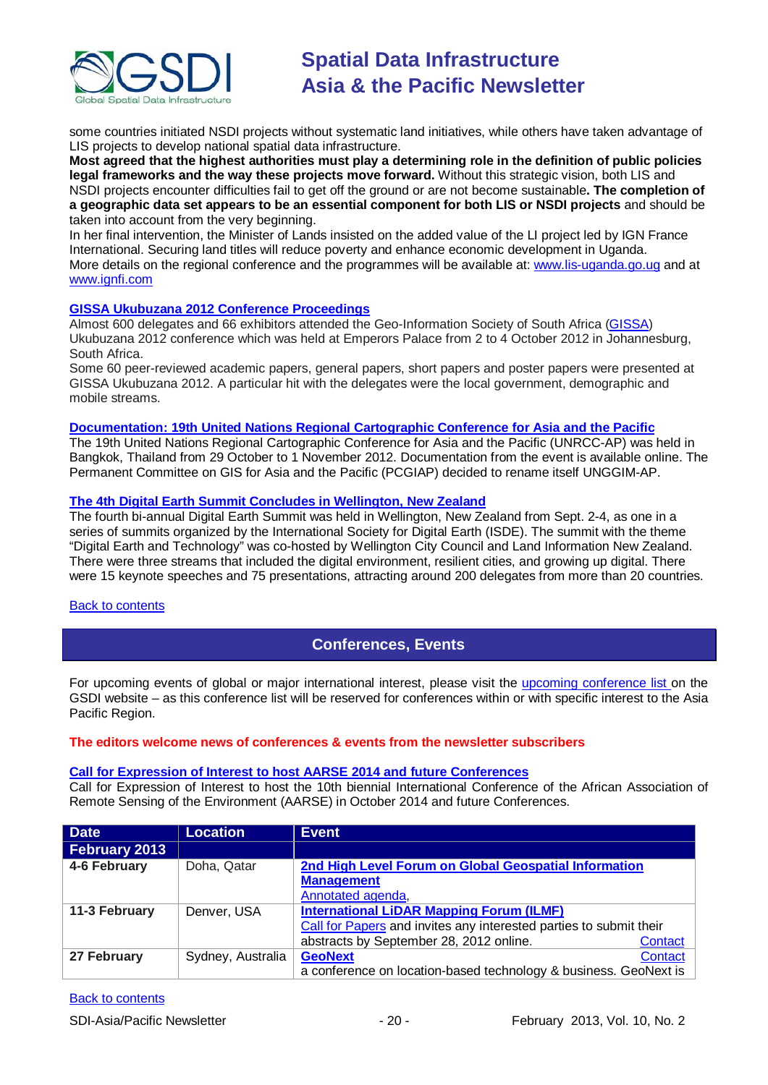

some countries initiated NSDI projects without systematic land initiatives, while others have taken advantage of LIS projects to develop national spatial data infrastructure.

**Most agreed that the highest authorities must play a determining role in the definition of public policies legal frameworks and the way these projects move forward.** Without this strategic vision, both LIS and NSDI projects encounter difficulties fail to get off the ground or are not become sustainable**. The completion of a geographic data set appears to be an essential component for both LIS or NSDI projects** and should be taken into account from the very beginning.

In her final intervention, the Minister of Lands insisted on the added value of the LI project led by IGN France International. Securing land titles will reduce poverty and enhance economic development in Uganda. More details on the regional conference and the programmes will be available at: [www.lis-uganda.go.ug](http://www.lis-uganda.go.ug/) and at [www.ignfi.com](http://www.ignfi.com/)

#### **[GISSA Ukubuzana 2012 Conference Proceedings](http://www.eepublishers.co.za/article/gissa-ukubuzana-2012-conference-proceedings.html)**

Almost 600 delegates and 66 exhibitors attended the Geo-Information Society of South Africa [\(GISSA\)](http://www.gissa.org.za/) Ukubuzana 2012 conference which was held at Emperors Palace from 2 to 4 October 2012 in Johannesburg, South Africa.

Some 60 peer-reviewed academic papers, general papers, short papers and poster papers were presented at GISSA Ukubuzana 2012. A particular hit with the delegates were the local government, demographic and mobile streams.

#### **Documentation: 19th United [Nations Regional Cartographic Conference for Asia and the Pacific](http://unstats.un.org/unsd/geoinfo/RCC/unrccap19.html?)**

The 19th United Nations Regional Cartographic Conference for Asia and the Pacific (UNRCC-AP) was held in Bangkok, Thailand from 29 October to 1 November 2012. Documentation from the event is available online. The Permanent Committee on GIS for Asia and the Pacific (PCGIAP) decided to rename itself UNGGIM-AP.

#### **[The 4th Digital Earth Summit Concludes in Wellington, New Zealand](http://digitalearth-isde.org/news/367)**

The fourth bi-annual Digital Earth Summit was held in Wellington, New Zealand from Sept. 2-4, as one in a series of summits organized by the International Society for Digital Earth (ISDE). The summit with the theme "Digital Earth and Technology" was co-hosted by Wellington City Council and Land Information New Zealand. There were three streams that included the digital environment, resilient cities, and growing up digital. There were 15 keynote speeches and 75 presentations, attracting around 200 delegates from more than 20 countries.

#### <span id="page-19-0"></span>[Back to contents](#page-0-0)

# **Conferences, Events**

For upcoming events of global or major international interest, please visit the [upcoming conference list o](http://gsdi.org/events/upcnf.asp)n the GSDI website – as this conference list will be reserved for conferences within or with specific interest to the Asia Pacific Region.

#### **The editors welcome news of conferences & events from the newsletter subscribers**

#### **[Call for Expression of Interest to host AARSE 2014](http://lists.gsdi.org/pipermail/sdi-africa/2010-November/001135.html) and future Conferences**

Call for Expression of Interest to host the 10th biennial International Conference of the African Association of Remote Sensing of the Environment (AARSE) in October 2014 and future Conferences.

| <b>Date</b>   | <b>Location</b>   | <b>Event</b>                                                       |
|---------------|-------------------|--------------------------------------------------------------------|
| February 2013 |                   |                                                                    |
| 4-6 February  | Doha, Qatar       | 2nd High Level Forum on Global Geospatial Information              |
|               |                   | <b>Management</b>                                                  |
|               |                   | Annotated agenda,                                                  |
| 11-3 February | Denver, USA       | <b>International LiDAR Mapping Forum (ILMF)</b>                    |
|               |                   | Call for Papers and invites any interested parties to submit their |
|               |                   | abstracts by September 28, 2012 online.<br><b>Contact</b>          |
| 27 February   | Sydney, Australia | <b>GeoNext</b><br><b>Contact</b>                                   |
|               |                   | a conference on location-based technology & business. GeoNext is   |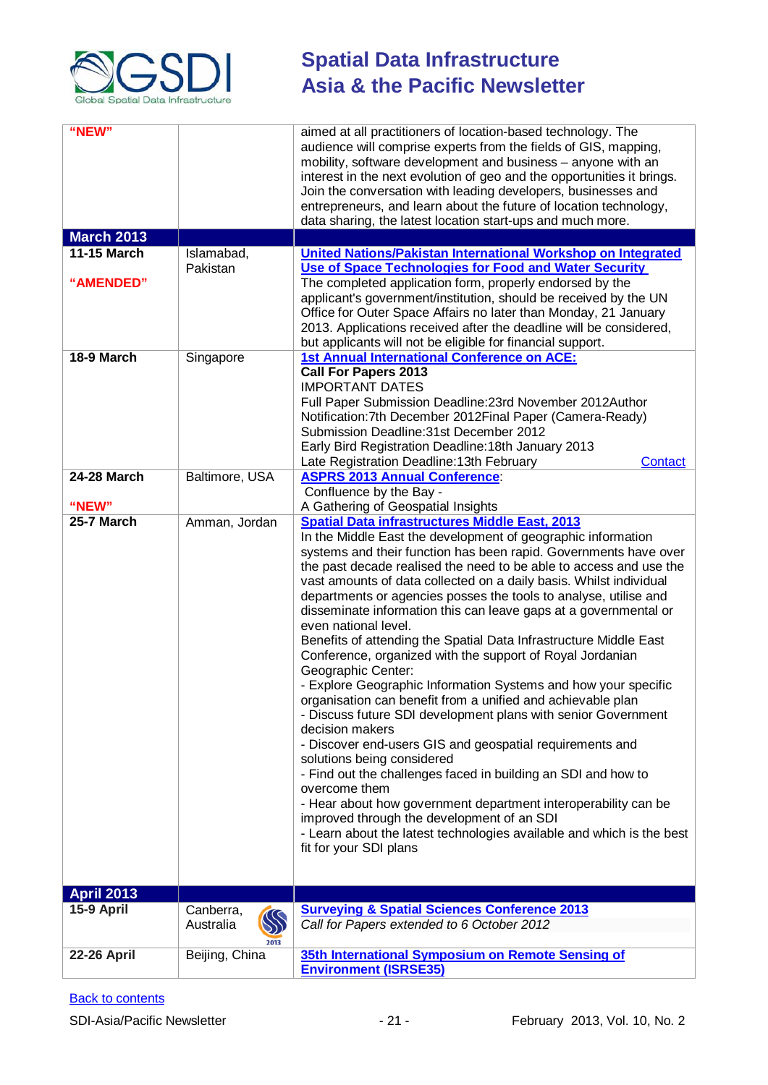

| "NEW"<br><b>March 2013</b><br><b>11-15 March</b><br>"AMENDED" | Islamabad,<br>Pakistan                     | aimed at all practitioners of location-based technology. The<br>audience will comprise experts from the fields of GIS, mapping,<br>mobility, software development and business – anyone with an<br>interest in the next evolution of geo and the opportunities it brings.<br>Join the conversation with leading developers, businesses and<br>entrepreneurs, and learn about the future of location technology,<br>data sharing, the latest location start-ups and much more.<br>United Nations/Pakistan International Workshop on Integrated<br>Use of Space Technologies for Food and Water Security<br>The completed application form, properly endorsed by the<br>applicant's government/institution, should be received by the UN<br>Office for Outer Space Affairs no later than Monday, 21 January<br>2013. Applications received after the deadline will be considered,<br>but applicants will not be eligible for financial support.                                                                                                                                                                                                            |
|---------------------------------------------------------------|--------------------------------------------|----------------------------------------------------------------------------------------------------------------------------------------------------------------------------------------------------------------------------------------------------------------------------------------------------------------------------------------------------------------------------------------------------------------------------------------------------------------------------------------------------------------------------------------------------------------------------------------------------------------------------------------------------------------------------------------------------------------------------------------------------------------------------------------------------------------------------------------------------------------------------------------------------------------------------------------------------------------------------------------------------------------------------------------------------------------------------------------------------------------------------------------------------------|
| 18-9 March                                                    | Singapore                                  | <b>1st Annual International Conference on ACE:</b><br><b>Call For Papers 2013</b><br><b>IMPORTANT DATES</b><br>Full Paper Submission Deadline: 23rd November 2012Author<br>Notification: 7th December 2012 Final Paper (Camera-Ready)<br>Submission Deadline: 31st December 2012<br>Early Bird Registration Deadline: 18th January 2013<br>Late Registration Deadline: 13th February<br>Contact                                                                                                                                                                                                                                                                                                                                                                                                                                                                                                                                                                                                                                                                                                                                                          |
| <b>24-28 March</b><br>"NEW"                                   | Baltimore, USA                             | <b>ASPRS 2013 Annual Conference:</b><br>Confluence by the Bay -<br>A Gathering of Geospatial Insights                                                                                                                                                                                                                                                                                                                                                                                                                                                                                                                                                                                                                                                                                                                                                                                                                                                                                                                                                                                                                                                    |
| 25-7 March                                                    | Amman, Jordan                              | <b>Spatial Data infrastructures Middle East, 2013</b><br>In the Middle East the development of geographic information                                                                                                                                                                                                                                                                                                                                                                                                                                                                                                                                                                                                                                                                                                                                                                                                                                                                                                                                                                                                                                    |
|                                                               |                                            | systems and their function has been rapid. Governments have over<br>the past decade realised the need to be able to access and use the<br>vast amounts of data collected on a daily basis. Whilst individual<br>departments or agencies posses the tools to analyse, utilise and<br>disseminate information this can leave gaps at a governmental or<br>even national level.<br>Benefits of attending the Spatial Data Infrastructure Middle East<br>Conference, organized with the support of Royal Jordanian<br>Geographic Center:<br>- Explore Geographic Information Systems and how your specific<br>organisation can benefit from a unified and achievable plan<br>- Discuss future SDI development plans with senior Government<br>decision makers<br>- Discover end-users GIS and geospatial requirements and<br>solutions being considered<br>- Find out the challenges faced in building an SDI and how to<br>overcome them<br>- Hear about how government department interoperability can be<br>improved through the development of an SDI<br>- Learn about the latest technologies available and which is the best<br>fit for your SDI plans |
| <b>April 2013</b>                                             |                                            |                                                                                                                                                                                                                                                                                                                                                                                                                                                                                                                                                                                                                                                                                                                                                                                                                                                                                                                                                                                                                                                                                                                                                          |
| 15-9 April                                                    | Canberra,<br>$\infty$<br>Australia<br>2013 | <b>Surveying &amp; Spatial Sciences Conference 2013</b><br>Call for Papers extended to 6 October 2012                                                                                                                                                                                                                                                                                                                                                                                                                                                                                                                                                                                                                                                                                                                                                                                                                                                                                                                                                                                                                                                    |
| <b>22-26 April</b>                                            | Beijing, China                             | 35th International Symposium on Remote Sensing of<br><b>Environment (ISRSE35)</b>                                                                                                                                                                                                                                                                                                                                                                                                                                                                                                                                                                                                                                                                                                                                                                                                                                                                                                                                                                                                                                                                        |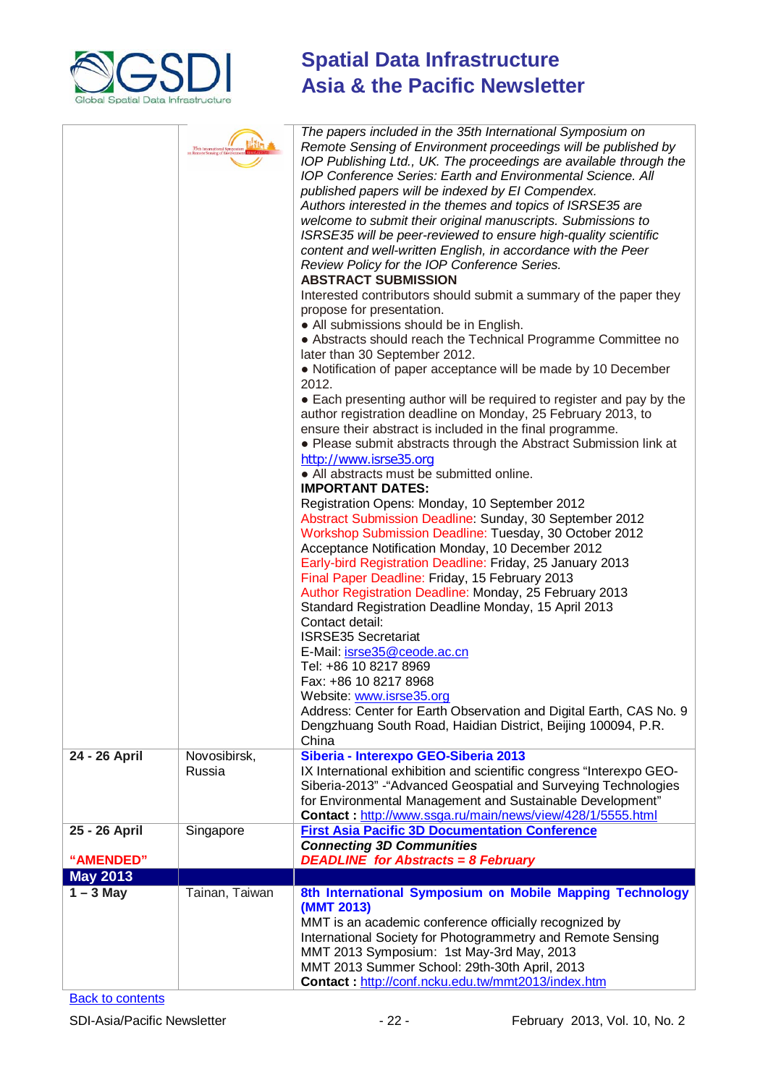

| 24 - 26 April                  | 35th International Symposium<br>Remote Sensing of Environment Path<br>Novosibirsk, | The papers included in the 35th International Symposium on<br>Remote Sensing of Environment proceedings will be published by<br>IOP Publishing Ltd., UK. The proceedings are available through the<br>IOP Conference Series: Earth and Environmental Science. All<br>published papers will be indexed by El Compendex.<br>Authors interested in the themes and topics of ISRSE35 are<br>welcome to submit their original manuscripts. Submissions to<br>ISRSE35 will be peer-reviewed to ensure high-quality scientific<br>content and well-written English, in accordance with the Peer<br>Review Policy for the IOP Conference Series.<br><b>ABSTRACT SUBMISSION</b><br>Interested contributors should submit a summary of the paper they<br>propose for presentation.<br>• All submissions should be in English.<br>• Abstracts should reach the Technical Programme Committee no<br>later than 30 September 2012.<br>• Notification of paper acceptance will be made by 10 December<br>2012.<br>• Each presenting author will be required to register and pay by the<br>author registration deadline on Monday, 25 February 2013, to<br>ensure their abstract is included in the final programme.<br>• Please submit abstracts through the Abstract Submission link at<br>http://www.isrse35.org<br>• All abstracts must be submitted online.<br><b>IMPORTANT DATES:</b><br>Registration Opens: Monday, 10 September 2012<br>Abstract Submission Deadline: Sunday, 30 September 2012<br>Workshop Submission Deadline: Tuesday, 30 October 2012<br>Acceptance Notification Monday, 10 December 2012<br>Early-bird Registration Deadline: Friday, 25 January 2013<br>Final Paper Deadline: Friday, 15 February 2013<br>Author Registration Deadline: Monday, 25 February 2013<br>Standard Registration Deadline Monday, 15 April 2013<br>Contact detail:<br><b>ISRSE35 Secretariat</b><br>E-Mail: isrse35@ceode.ac.cn<br>Tel: +86 10 8217 8969<br>Fax: +86 10 8217 8968<br>Website: www.isrse35.org<br>Address: Center for Earth Observation and Digital Earth, CAS No. 9<br>Dengzhuang South Road, Haidian District, Beijing 100094, P.R.<br>China<br>Siberia - Interexpo GEO-Siberia 2013 |
|--------------------------------|------------------------------------------------------------------------------------|-----------------------------------------------------------------------------------------------------------------------------------------------------------------------------------------------------------------------------------------------------------------------------------------------------------------------------------------------------------------------------------------------------------------------------------------------------------------------------------------------------------------------------------------------------------------------------------------------------------------------------------------------------------------------------------------------------------------------------------------------------------------------------------------------------------------------------------------------------------------------------------------------------------------------------------------------------------------------------------------------------------------------------------------------------------------------------------------------------------------------------------------------------------------------------------------------------------------------------------------------------------------------------------------------------------------------------------------------------------------------------------------------------------------------------------------------------------------------------------------------------------------------------------------------------------------------------------------------------------------------------------------------------------------------------------------------------------------------------------------------------------------------------------------------------------------------------------------------------------------------------------------------------------------------------------------------------------------------------------------------------------------------------------------------------------------------------------------------------------------------------------------------------------------------------------------------|
|                                | Russia                                                                             | IX International exhibition and scientific congress "Interexpo GEO-<br>Siberia-2013" - "Advanced Geospatial and Surveying Technologies<br>for Environmental Management and Sustainable Development"<br>Contact: http://www.ssga.ru/main/news/view/428/1/5555.html                                                                                                                                                                                                                                                                                                                                                                                                                                                                                                                                                                                                                                                                                                                                                                                                                                                                                                                                                                                                                                                                                                                                                                                                                                                                                                                                                                                                                                                                                                                                                                                                                                                                                                                                                                                                                                                                                                                             |
| 25 - 26 April                  | Singapore                                                                          | <b>First Asia Pacific 3D Documentation Conference</b>                                                                                                                                                                                                                                                                                                                                                                                                                                                                                                                                                                                                                                                                                                                                                                                                                                                                                                                                                                                                                                                                                                                                                                                                                                                                                                                                                                                                                                                                                                                                                                                                                                                                                                                                                                                                                                                                                                                                                                                                                                                                                                                                         |
|                                |                                                                                    | <b>Connecting 3D Communities</b>                                                                                                                                                                                                                                                                                                                                                                                                                                                                                                                                                                                                                                                                                                                                                                                                                                                                                                                                                                                                                                                                                                                                                                                                                                                                                                                                                                                                                                                                                                                                                                                                                                                                                                                                                                                                                                                                                                                                                                                                                                                                                                                                                              |
| "AMENDED"                      |                                                                                    | <b>DEADLINE</b> for Abstracts = 8 February                                                                                                                                                                                                                                                                                                                                                                                                                                                                                                                                                                                                                                                                                                                                                                                                                                                                                                                                                                                                                                                                                                                                                                                                                                                                                                                                                                                                                                                                                                                                                                                                                                                                                                                                                                                                                                                                                                                                                                                                                                                                                                                                                    |
| <b>May 2013</b><br>$1 - 3$ May | Tainan, Taiwan                                                                     | 8th International Symposium on Mobile Mapping Technology                                                                                                                                                                                                                                                                                                                                                                                                                                                                                                                                                                                                                                                                                                                                                                                                                                                                                                                                                                                                                                                                                                                                                                                                                                                                                                                                                                                                                                                                                                                                                                                                                                                                                                                                                                                                                                                                                                                                                                                                                                                                                                                                      |
|                                |                                                                                    | (MMT 2013)<br>MMT is an academic conference officially recognized by<br>International Society for Photogrammetry and Remote Sensing<br>MMT 2013 Symposium: 1st May-3rd May, 2013<br>MMT 2013 Summer School: 29th-30th April, 2013<br>Contact: http://conf.ncku.edu.tw/mmt2013/index.htm                                                                                                                                                                                                                                                                                                                                                                                                                                                                                                                                                                                                                                                                                                                                                                                                                                                                                                                                                                                                                                                                                                                                                                                                                                                                                                                                                                                                                                                                                                                                                                                                                                                                                                                                                                                                                                                                                                       |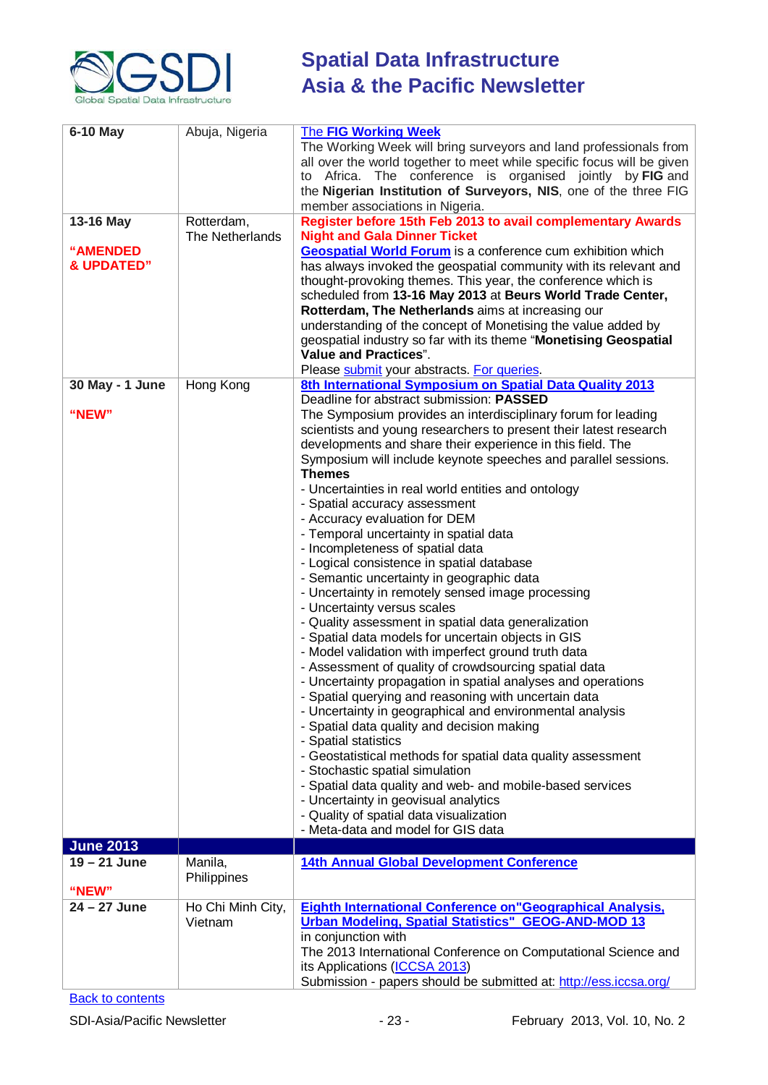

| <b>6-10 May</b>         | Abuja, Nigeria               | <b>The FIG Working Week</b><br>The Working Week will bring surveyors and land professionals from<br>all over the world together to meet while specific focus will be given<br>to Africa. The conference is organised jointly by FIG and<br>the Nigerian Institution of Surveyors, NIS, one of the three FIG<br>member associations in Nigeria. |
|-------------------------|------------------------------|------------------------------------------------------------------------------------------------------------------------------------------------------------------------------------------------------------------------------------------------------------------------------------------------------------------------------------------------|
| 13-16 May               | Rotterdam,                   | Register before 15th Feb 2013 to avail complementary Awards                                                                                                                                                                                                                                                                                    |
|                         | The Netherlands              | <b>Night and Gala Dinner Ticket</b>                                                                                                                                                                                                                                                                                                            |
| <b>"AMENDED</b>         |                              | <b>Geospatial World Forum</b> is a conference cum exhibition which                                                                                                                                                                                                                                                                             |
| <b>&amp; UPDATED"</b>   |                              | has always invoked the geospatial community with its relevant and                                                                                                                                                                                                                                                                              |
|                         |                              | thought-provoking themes. This year, the conference which is                                                                                                                                                                                                                                                                                   |
|                         |                              | scheduled from 13-16 May 2013 at Beurs World Trade Center,                                                                                                                                                                                                                                                                                     |
|                         |                              | Rotterdam, The Netherlands aims at increasing our                                                                                                                                                                                                                                                                                              |
|                         |                              | understanding of the concept of Monetising the value added by                                                                                                                                                                                                                                                                                  |
|                         |                              | geospatial industry so far with its theme "Monetising Geospatial                                                                                                                                                                                                                                                                               |
|                         |                              | <b>Value and Practices".</b>                                                                                                                                                                                                                                                                                                                   |
|                         |                              | Please submit your abstracts. For queries.                                                                                                                                                                                                                                                                                                     |
| 30 May - 1 June         | Hong Kong                    | 8th International Symposium on Spatial Data Quality 2013                                                                                                                                                                                                                                                                                       |
|                         |                              | Deadline for abstract submission: PASSED                                                                                                                                                                                                                                                                                                       |
| "NEW"                   |                              | The Symposium provides an interdisciplinary forum for leading                                                                                                                                                                                                                                                                                  |
|                         |                              | scientists and young researchers to present their latest research                                                                                                                                                                                                                                                                              |
|                         |                              | developments and share their experience in this field. The                                                                                                                                                                                                                                                                                     |
|                         |                              | Symposium will include keynote speeches and parallel sessions.                                                                                                                                                                                                                                                                                 |
|                         |                              | <b>Themes</b>                                                                                                                                                                                                                                                                                                                                  |
|                         |                              | - Uncertainties in real world entities and ontology                                                                                                                                                                                                                                                                                            |
|                         |                              | - Spatial accuracy assessment                                                                                                                                                                                                                                                                                                                  |
|                         |                              | - Accuracy evaluation for DEM                                                                                                                                                                                                                                                                                                                  |
|                         |                              | - Temporal uncertainty in spatial data                                                                                                                                                                                                                                                                                                         |
|                         |                              | - Incompleteness of spatial data                                                                                                                                                                                                                                                                                                               |
|                         |                              | - Logical consistence in spatial database                                                                                                                                                                                                                                                                                                      |
|                         |                              | - Semantic uncertainty in geographic data                                                                                                                                                                                                                                                                                                      |
|                         |                              | - Uncertainty in remotely sensed image processing                                                                                                                                                                                                                                                                                              |
|                         |                              | - Uncertainty versus scales                                                                                                                                                                                                                                                                                                                    |
|                         |                              | - Quality assessment in spatial data generalization                                                                                                                                                                                                                                                                                            |
|                         |                              | - Spatial data models for uncertain objects in GIS                                                                                                                                                                                                                                                                                             |
|                         |                              | - Model validation with imperfect ground truth data                                                                                                                                                                                                                                                                                            |
|                         |                              | - Assessment of quality of crowdsourcing spatial data                                                                                                                                                                                                                                                                                          |
|                         |                              | - Uncertainty propagation in spatial analyses and operations<br>- Spatial querying and reasoning with uncertain data                                                                                                                                                                                                                           |
|                         |                              | - Uncertainty in geographical and environmental analysis                                                                                                                                                                                                                                                                                       |
|                         |                              | - Spatial data quality and decision making                                                                                                                                                                                                                                                                                                     |
|                         |                              | - Spatial statistics                                                                                                                                                                                                                                                                                                                           |
|                         |                              | - Geostatistical methods for spatial data quality assessment                                                                                                                                                                                                                                                                                   |
|                         |                              | - Stochastic spatial simulation                                                                                                                                                                                                                                                                                                                |
|                         |                              | - Spatial data quality and web- and mobile-based services                                                                                                                                                                                                                                                                                      |
|                         |                              | - Uncertainty in geovisual analytics                                                                                                                                                                                                                                                                                                           |
|                         |                              | - Quality of spatial data visualization                                                                                                                                                                                                                                                                                                        |
|                         |                              | - Meta-data and model for GIS data                                                                                                                                                                                                                                                                                                             |
| <b>June 2013</b>        |                              |                                                                                                                                                                                                                                                                                                                                                |
| $19 - 21$ June          | Manila,                      | 14th Annual Global Development Conference                                                                                                                                                                                                                                                                                                      |
|                         | Philippines                  |                                                                                                                                                                                                                                                                                                                                                |
| "NEW"<br>$24 - 27$ June |                              |                                                                                                                                                                                                                                                                                                                                                |
|                         | Ho Chi Minh City,<br>Vietnam | <b>Eighth International Conference on "Geographical Analysis,</b><br><b>Urban Modeling, Spatial Statistics" GEOG-AND-MOD 13</b>                                                                                                                                                                                                                |
|                         |                              | in conjunction with                                                                                                                                                                                                                                                                                                                            |
|                         |                              | The 2013 International Conference on Computational Science and                                                                                                                                                                                                                                                                                 |
|                         |                              | its Applications (ICCSA 2013)                                                                                                                                                                                                                                                                                                                  |
|                         |                              | Submission - papers should be submitted at: http://ess.iccsa.org/                                                                                                                                                                                                                                                                              |
|                         |                              |                                                                                                                                                                                                                                                                                                                                                |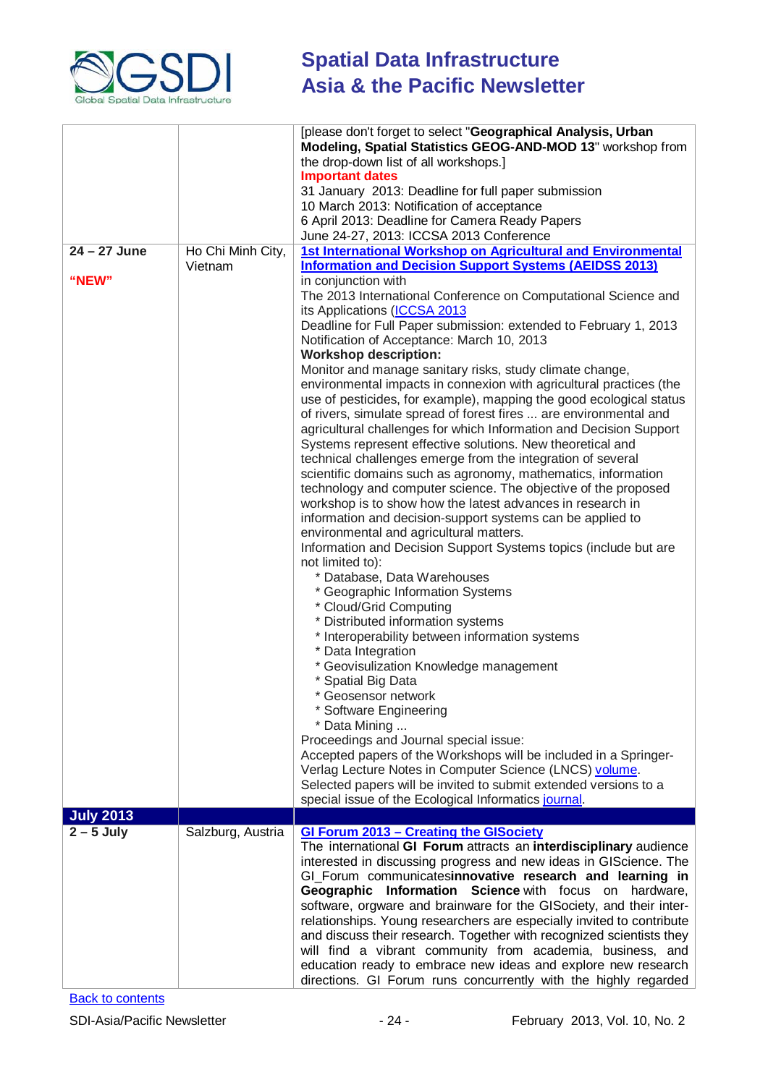

|                  |                              | [please don't forget to select "Geographical Analysis, Urban<br>Modeling, Spatial Statistics GEOG-AND-MOD 13" workshop from<br>the drop-down list of all workshops.]<br><b>Important dates</b><br>31 January 2013: Deadline for full paper submission                                                                                                                                                                                                                                                                                                                                                                                                                                                                                                                                                                                                                                                                                                                                                                                                                                                                                                                                                                                                                                                                                                                                                                                                                 |
|------------------|------------------------------|-----------------------------------------------------------------------------------------------------------------------------------------------------------------------------------------------------------------------------------------------------------------------------------------------------------------------------------------------------------------------------------------------------------------------------------------------------------------------------------------------------------------------------------------------------------------------------------------------------------------------------------------------------------------------------------------------------------------------------------------------------------------------------------------------------------------------------------------------------------------------------------------------------------------------------------------------------------------------------------------------------------------------------------------------------------------------------------------------------------------------------------------------------------------------------------------------------------------------------------------------------------------------------------------------------------------------------------------------------------------------------------------------------------------------------------------------------------------------|
|                  |                              | 10 March 2013: Notification of acceptance<br>6 April 2013: Deadline for Camera Ready Papers<br>June 24-27, 2013: ICCSA 2013 Conference                                                                                                                                                                                                                                                                                                                                                                                                                                                                                                                                                                                                                                                                                                                                                                                                                                                                                                                                                                                                                                                                                                                                                                                                                                                                                                                                |
| $24 - 27$ June   |                              | 1st International Workshop on Agricultural and Environmental                                                                                                                                                                                                                                                                                                                                                                                                                                                                                                                                                                                                                                                                                                                                                                                                                                                                                                                                                                                                                                                                                                                                                                                                                                                                                                                                                                                                          |
|                  | Ho Chi Minh City,<br>Vietnam | <b>Information and Decision Support Systems (AEIDSS 2013)</b>                                                                                                                                                                                                                                                                                                                                                                                                                                                                                                                                                                                                                                                                                                                                                                                                                                                                                                                                                                                                                                                                                                                                                                                                                                                                                                                                                                                                         |
| "NEW"            |                              | in conjunction with                                                                                                                                                                                                                                                                                                                                                                                                                                                                                                                                                                                                                                                                                                                                                                                                                                                                                                                                                                                                                                                                                                                                                                                                                                                                                                                                                                                                                                                   |
|                  |                              | The 2013 International Conference on Computational Science and<br>its Applications (ICCSA 2013<br>Deadline for Full Paper submission: extended to February 1, 2013<br>Notification of Acceptance: March 10, 2013<br><b>Workshop description:</b><br>Monitor and manage sanitary risks, study climate change,                                                                                                                                                                                                                                                                                                                                                                                                                                                                                                                                                                                                                                                                                                                                                                                                                                                                                                                                                                                                                                                                                                                                                          |
|                  |                              | environmental impacts in connexion with agricultural practices (the<br>use of pesticides, for example), mapping the good ecological status<br>of rivers, simulate spread of forest fires  are environmental and<br>agricultural challenges for which Information and Decision Support<br>Systems represent effective solutions. New theoretical and<br>technical challenges emerge from the integration of several<br>scientific domains such as agronomy, mathematics, information<br>technology and computer science. The objective of the proposed<br>workshop is to show how the latest advances in research in<br>information and decision-support systems can be applied to<br>environmental and agricultural matters.<br>Information and Decision Support Systems topics (include but are<br>not limited to):<br>* Database, Data Warehouses<br>* Geographic Information Systems<br>* Cloud/Grid Computing<br>* Distributed information systems<br>* Interoperability between information systems<br>* Data Integration<br>* Geovisulization Knowledge management<br>* Spatial Big Data<br>* Geosensor network<br>* Software Engineering<br>* Data Mining<br>Proceedings and Journal special issue:<br>Accepted papers of the Workshops will be included in a Springer-<br>Verlag Lecture Notes in Computer Science (LNCS) volume.<br>Selected papers will be invited to submit extended versions to a<br>special issue of the Ecological Informatics journal. |
| <b>July 2013</b> |                              |                                                                                                                                                                                                                                                                                                                                                                                                                                                                                                                                                                                                                                                                                                                                                                                                                                                                                                                                                                                                                                                                                                                                                                                                                                                                                                                                                                                                                                                                       |
| $2 - 5$ July     | Salzburg, Austria            | GI Forum 2013 - Creating the GISociety<br>The international GI Forum attracts an interdisciplinary audience<br>interested in discussing progress and new ideas in GIScience. The<br>GI_Forum communicatesinnovative research and learning in<br>Geographic Information Science with focus on hardware,<br>software, orgware and brainware for the GISociety, and their inter-<br>relationships. Young researchers are especially invited to contribute<br>and discuss their research. Together with recognized scientists they<br>will find a vibrant community from academia, business, and<br>education ready to embrace new ideas and explore new research<br>directions. GI Forum runs concurrently with the highly regarded                                                                                                                                                                                                                                                                                                                                                                                                                                                                                                                                                                                                                                                                                                                                      |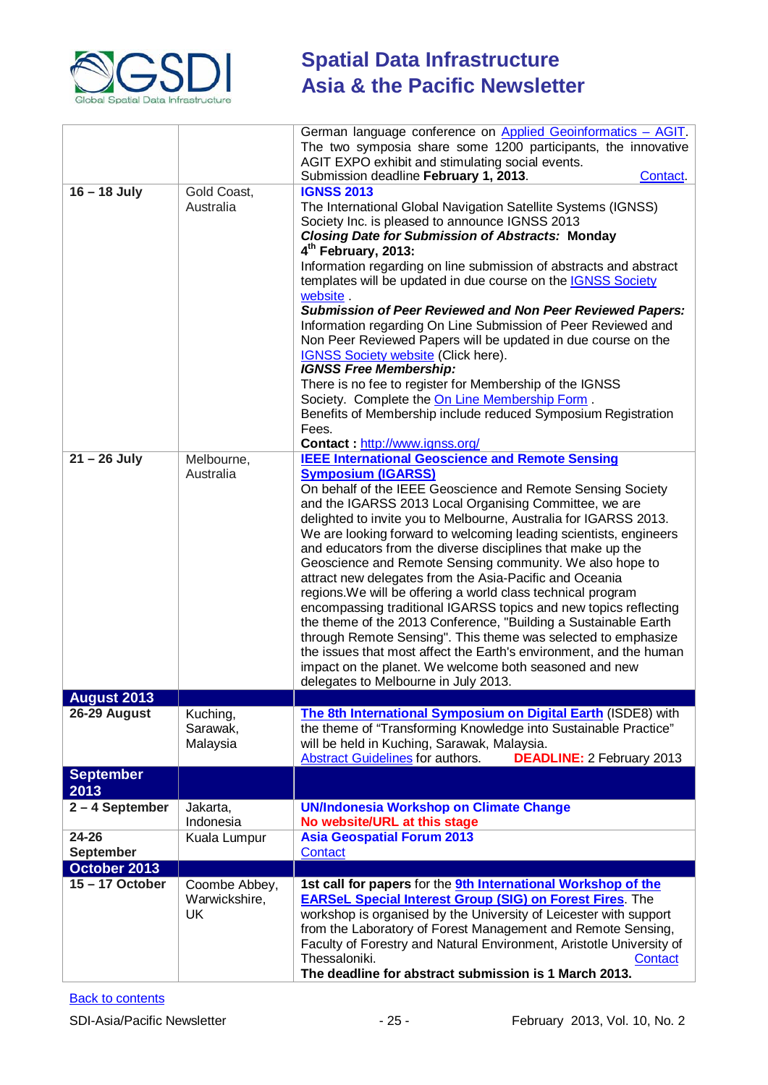

|                           |                                      | German language conference on Applied Geoinformatics - AGIT.<br>The two symposia share some 1200 participants, the innovative<br>AGIT EXPO exhibit and stimulating social events.<br>Submission deadline February 1, 2013.<br>Contact.                                                                                                                                                                                                                                                                                                                                                                                                                                                                                                                                                                                                                                                                                                                                                       |
|---------------------------|--------------------------------------|----------------------------------------------------------------------------------------------------------------------------------------------------------------------------------------------------------------------------------------------------------------------------------------------------------------------------------------------------------------------------------------------------------------------------------------------------------------------------------------------------------------------------------------------------------------------------------------------------------------------------------------------------------------------------------------------------------------------------------------------------------------------------------------------------------------------------------------------------------------------------------------------------------------------------------------------------------------------------------------------|
| $16 - 18$ July            | Gold Coast,<br>Australia             | <b>IGNSS 2013</b><br>The International Global Navigation Satellite Systems (IGNSS)<br>Society Inc. is pleased to announce IGNSS 2013<br><b>Closing Date for Submission of Abstracts: Monday</b><br>4 <sup>th</sup> February, 2013:<br>Information regarding on line submission of abstracts and abstract<br>templates will be updated in due course on the IGNSS Society<br>website.<br><b>Submission of Peer Reviewed and Non Peer Reviewed Papers:</b><br>Information regarding On Line Submission of Peer Reviewed and<br>Non Peer Reviewed Papers will be updated in due course on the<br><b>IGNSS Society website (Click here).</b><br><b>IGNSS Free Membership:</b><br>There is no fee to register for Membership of the IGNSS<br>Society. Complete the On Line Membership Form.<br>Benefits of Membership include reduced Symposium Registration<br>Fees.<br>Contact: http://www.ignss.org/                                                                                           |
| $21 - 26$ July            | Melbourne,<br>Australia              | <b>IEEE International Geoscience and Remote Sensing</b><br><b>Symposium (IGARSS)</b><br>On behalf of the IEEE Geoscience and Remote Sensing Society<br>and the IGARSS 2013 Local Organising Committee, we are<br>delighted to invite you to Melbourne, Australia for IGARSS 2013.<br>We are looking forward to welcoming leading scientists, engineers<br>and educators from the diverse disciplines that make up the<br>Geoscience and Remote Sensing community. We also hope to<br>attract new delegates from the Asia-Pacific and Oceania<br>regions. We will be offering a world class technical program<br>encompassing traditional IGARSS topics and new topics reflecting<br>the theme of the 2013 Conference, "Building a Sustainable Earth<br>through Remote Sensing". This theme was selected to emphasize<br>the issues that most affect the Earth's environment, and the human<br>impact on the planet. We welcome both seasoned and new<br>delegates to Melbourne in July 2013. |
| <b>August 2013</b>        |                                      |                                                                                                                                                                                                                                                                                                                                                                                                                                                                                                                                                                                                                                                                                                                                                                                                                                                                                                                                                                                              |
| 26-29 August              | Kuching,<br>Sarawak,<br>Malaysia     | The 8th International Symposium on Digital Earth (ISDE8) with<br>the theme of "Transforming Knowledge into Sustainable Practice"<br>will be held in Kuching, Sarawak, Malaysia.<br><b>Abstract Guidelines</b> for authors.<br><b>DEADLINE: 2 February 2013</b>                                                                                                                                                                                                                                                                                                                                                                                                                                                                                                                                                                                                                                                                                                                               |
| <b>September</b><br>2013  |                                      |                                                                                                                                                                                                                                                                                                                                                                                                                                                                                                                                                                                                                                                                                                                                                                                                                                                                                                                                                                                              |
| $2 - 4$ September         | Jakarta,<br>Indonesia                | <b>UN/Indonesia Workshop on Climate Change</b><br>No website/URL at this stage                                                                                                                                                                                                                                                                                                                                                                                                                                                                                                                                                                                                                                                                                                                                                                                                                                                                                                               |
| 24-26<br><b>September</b> | Kuala Lumpur                         | <b>Asia Geospatial Forum 2013</b><br>Contact                                                                                                                                                                                                                                                                                                                                                                                                                                                                                                                                                                                                                                                                                                                                                                                                                                                                                                                                                 |
| October 2013              |                                      |                                                                                                                                                                                                                                                                                                                                                                                                                                                                                                                                                                                                                                                                                                                                                                                                                                                                                                                                                                                              |
| 15-17 October             | Coombe Abbey,<br>Warwickshire,<br>UK | 1st call for papers for the <b>9th International Workshop of the</b><br><b>EARSeL Special Interest Group (SIG) on Forest Fires.</b> The<br>workshop is organised by the University of Leicester with support<br>from the Laboratory of Forest Management and Remote Sensing,<br>Faculty of Forestry and Natural Environment, Aristotle University of<br>Thessaloniki.<br>Contact<br>The deadline for abstract submission is 1 March 2013.                                                                                                                                                                                                                                                                                                                                                                                                                                                                                                                                                    |